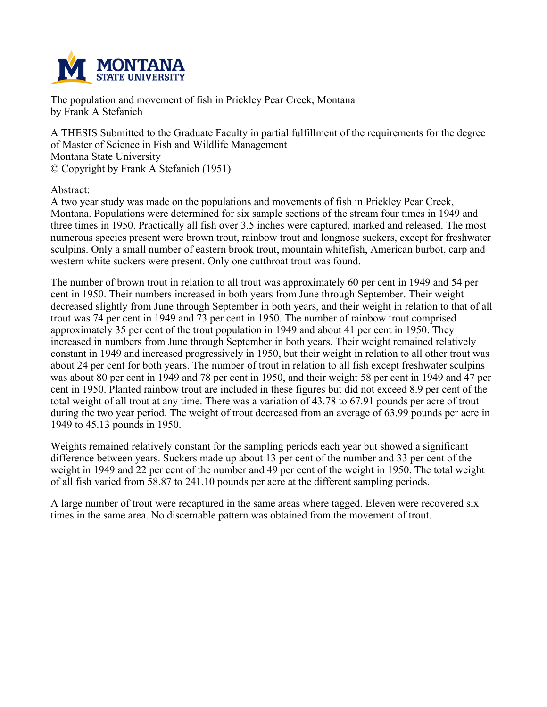

**The population and movement of fish in Prickley Pear Creek, Montana by Frank A Stefanich**

**A THESIS Submitted to the Graduate Faculty in partial fulfillment of the requirements for the degree of Master of Science in Fish and Wildlife Management Montana State University © Copyright by Frank A Stefanich (1951)**

**Abstract:**

**A two year study was made on the populations and movements of fish in Prickley Pear Creek, Montana. Populations were determined for six sample sections of the stream four times in 1949 and three times in 1950. Practically all fish over 3.5 inches were captured, marked and released. The most numerous species present were brown trout, rainbow trout and longnose suckers, except for freshwater sculpins. Only a small number of eastern brook trout, mountain whitefish, American burbot, carp and western white suckers were present. Only one cutthroat trout was found.**

The number of brown trout in relation to all trout was approximately 60 per cent in 1949 and 54 per **cent in 1950. Their numbers increased in both years from June through September. Their weight** decreased slightly from June through September in both years, and their weight in relation to that of all trout was 74 per cent in 1949 and 73 per cent in 1950. The number of rainbow trout comprised **approximately 35 per cent of the trout population in 1949 and about 41 per cent in 1950. They increased in numbers from June through September in both years. Their weight remained relatively** constant in 1949 and increased progressively in 1950, but their weight in relation to all other trout was about 24 per cent for both years. The number of trout in relation to all fish except freshwater sculpins was about 80 per cent in 1949 and 78 per cent in 1950, and their weight 58 per cent in 1949 and 47 per cent in 1950. Planted rainbow trout are included in these figures but did not exceed 8.9 per cent of the total weight of all trout at any time. There was a variation of 43.78 to 67.91 pounds per acre of trout during the two year period. The weight of trout decreased from an average of 63.99 pounds per acre in **1949 to 45.13 pounds in 1950.**

**Weights remained relatively constant for the sampling periods each year but showed a significant** difference between years. Suckers made up about 13 per cent of the number and 33 per cent of the weight in 1949 and 22 per cent of the number and 49 per cent of the weight in 1950. The total weight **of all fish varied from 58.87 to 241.10 pounds per acre at the different sampling periods.**

**A large number of trout were recaptured in the same areas where tagged. Eleven were recovered six times in the same area. No discernable pattern was obtained from the movement of trout.**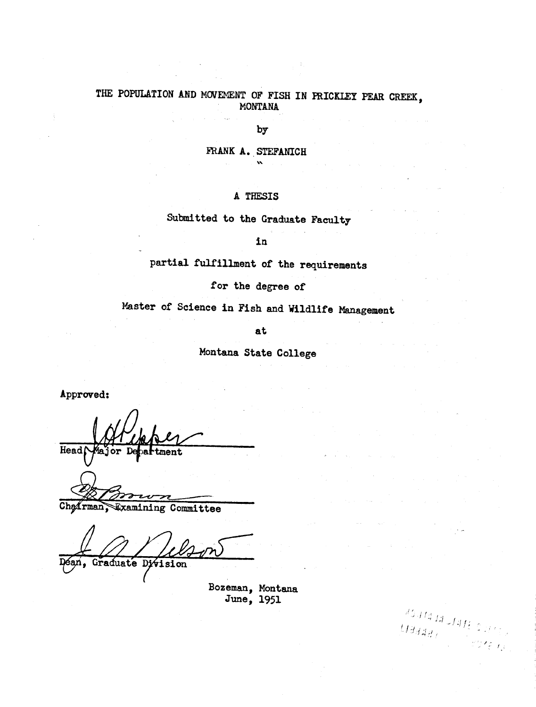# THE POPULATION AND MOVEMENT OF FISH IN PRICKLEY PEAR CREEK, **MONTANA**

**by**

**FRANK A. STEFANICH**  $\mathbf{v}$ 

## **A THESIS**

**Submitted to the Graduate Faculty**

**in**

**partial fulfillment of the requirements**

**for the degree of**

**Master of Science in Fish and Wildlife Management**

**at**

**Montana State College**

**Approved:**

Head **•artment**

Chairman, Examining Committee

Graduate **Division** 

**Bozeman, Montana June, 1951**

 $\zeta_{\varepsilon, \ell_2}$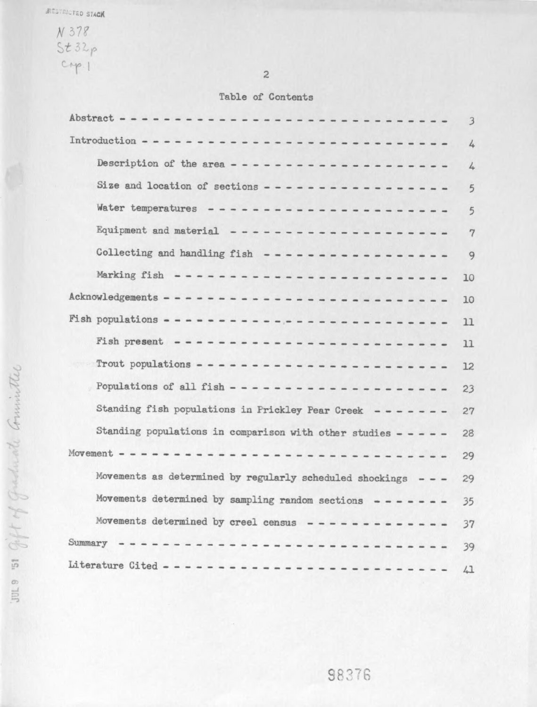$N 378$ <br>St 32p<br>Cop.1

 $\mathbf{2}$ 

# **Table of Contents**

| Abstract -----------------------------<br>$\overline{3}$               |
|------------------------------------------------------------------------|
| 4                                                                      |
| Description of the area ---------------------<br>4                     |
| Size and location of sections -----------------<br>$\overline{5}$      |
| 5                                                                      |
| Equipment and material ---------------------<br>$\overline{7}$         |
| Collecting and handling fish $-$ ----------------<br>9                 |
| Marking fish $- - - - - - - - - - - - - - - - - - - - - - - - -$<br>10 |
| Acknowledgements ----------------------------<br>10                    |
| Fish populations ----------------------------<br>11                    |
| Fish present -------------------------<br>11                           |
| Trout populations -------------------------<br>12                      |
| Populations of all fish ----------------------<br>23                   |
| Standing fish populations in Prickley Pear Creek -------<br>27         |
| Standing populations in comparison with other studies - - - - -<br>28  |
| Movement ------------------------------<br>29                          |
| Movements as determined by regularly scheduled shockings - - -<br>29   |
| Movements determined by sampling random sections $---$ - - - - -<br>35 |
| Movements determined by creel census -------------<br>37               |
| Summary -------------------------------<br>39                          |
| Literature Cited ----------------------------<br>41                    |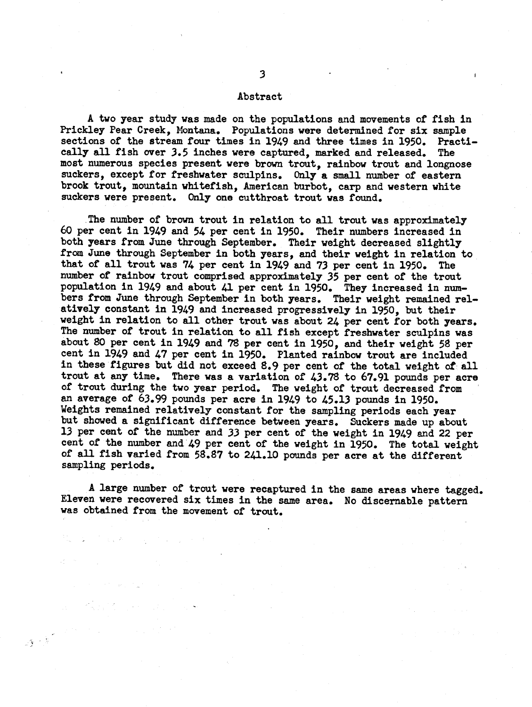#### **Abstract**

**A two year study was made on the populations and movements of fish in Prickley Pear Creek, Montana. Populations were determined for six sample sections of the stream four times in 1949 and three times in 1950. Practically all fish over 3.5 inches were captured, marked and released. The most numerous species present were brown trout, rainbow trout and longnose suckers, except for freshwater sculpins. Only a small number of eastern brook trout, mountain whitefish, American burbot, carp and western white suckers were present. Only one cutthroat trout was found.**

**The number of brown trout in relation to all trout was approximately 60 per cent in 1949 and 54 per cent in 1950. Their numbers increased in both years from June through September. Their weight decreased slightly from June through September in both years, and their weight in relation to that of all trout was 74 per cent in 1949 and 73 per cent in 1950. The number of rainbow trout comprised approximately 35 per cent of the trout population in 1949 and about 41 per cent in 1950. They increased in numbers from June through September in both years. Their weight remained relatively constant in 1949 and increased progressively in 1950, but their weight in relation to all other trout was about 24 per cent for both years. The number of trout in relation to all fish except freshwater sculpins was about 80 per cent in 1949 and 78 per cent in 1950, and their weight 58 per cent in 1949 and 47 per cent in 1950. Planted rainbow trout are included in these figures but did not exceed 8.9 per cent of the total weight of all trout at any time. There was a variation of 43.78 to 67.91 pounds per acre of trout during the two year period. The weight of trout decreased from an average of 63.99 pounds per acre in 1949 to 45.13 pounds in 1950. Weights remained relatively constant for the sampling periods each year but showed a significant difference between years. Suckers made up about 13 per cent of the number and 33 per cent of the weight in 1949 and 22 per cent of the number and 49 per cent of the weight in 1950. The total weight of all fish varied from 58.87 to 241.10 pounds per acre at the different sampling periods.**

**A large number of trout were recaptured in the same areas where tagged. Eleven were recovered six times in the same area. No disceraable pattern was obtained from the movement of trout.**

 $\mathcal{A} \geq \frac{1}{2} \sum_{i=1}^{2} \frac{1}{i} \sum_{i=1}^{2} \frac{1}{i} \sum_{i=1}^{2} \frac{1}{i} \sum_{i=1}^{2} \frac{1}{i} \sum_{i=1}^{2} \frac{1}{i} \sum_{i=1}^{2} \frac{1}{i} \sum_{i=1}^{2} \frac{1}{i} \sum_{i=1}^{2} \frac{1}{i} \sum_{i=1}^{2} \frac{1}{i} \sum_{i=1}^{2} \frac{1}{i} \sum_{i=1}^{2} \frac{1}{i} \sum_{i=1}^{2} \frac{1}{i}$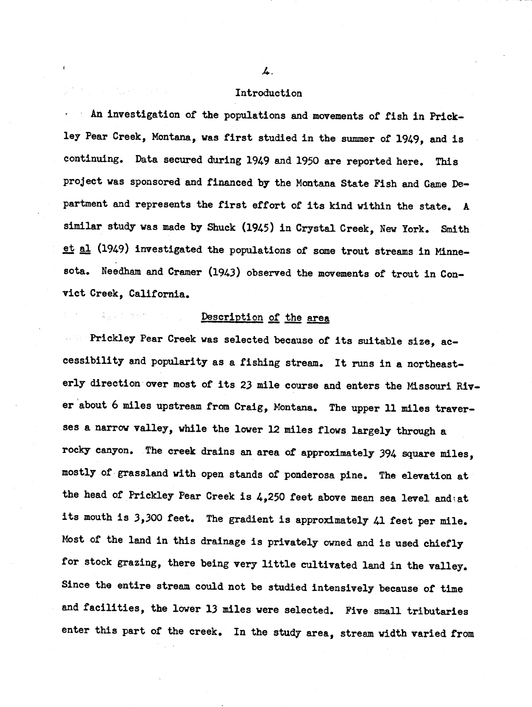#### **Introduction**

**An investigation of the populations and movements of fish in Prickley Pear Creek, Montana, was first studied in the summer of 1949, and is continuing. Data secured during 1949 and 1950 are reported here. This project was sponsored and financed by the Montana State Fish and Game Department and represents the first effort of its kind within the state. A similar study was made by Shuck (1945) in Crystal Creek, New York. Smith (1949) investigated the populations of some trout streams in Minnesota. Needham and Cramer (1943) observed the movements of trout in Convict Creek, California.**

## **Description of the area**

**Prickley Pear Creek was selected because of its suitable size, accessibility and popularity as a fishing stream. It runs in a northeasterly direction over most of its 23 mile course and enters the Missouri River about 6 miles upstream from Craig, Montana. The upper 11 miles traverses a narrow valley, while the lower 12 miles flows largely through a rocky canyon. The creek drains an area of approximately 394 square miles, mostly of grassland with open stands of ponderosa pine. The elevation at the head of Prickley Pear Creek is 4,250 feet above mean sea level and'at its mouth is 3,300 feet. The gradient is approximately 41 feet per mile. Most of the land in this drainage is privately owned and is used chiefly for stock grazing, there being very little cultivated land in the valley. Since the entire stream could not be studied intensively because of time and facilities, the lower 13 miles were selected. Five small tributaries enter this part of the creek. In the study area, stream width varied from**

 $\boldsymbol{\mu}$ .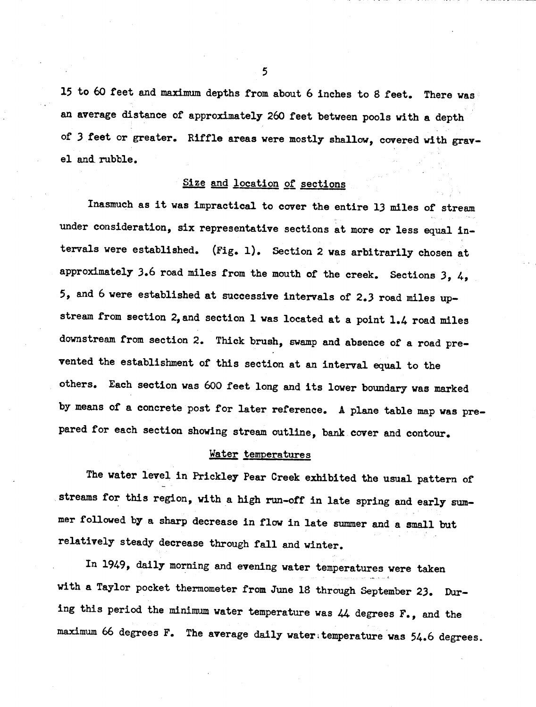**15 to 60 feet and maximum depths from about 6 inches to 8 feet. There was an average distance of approximately 260 feet between pools with a depth of 3 feet or greater. Riffle areas were mostly shallow, covered with gravel and rubble.**

## **Size and location of sections**

**Inasmuch as it was impractical to cover the entire 13 miles of stream under consideration, six representative sections at more or less equal intervals were established. (Fig. I). Section 2 was arbitrarily chosen at approximately 3.6 road miles from the mouth of the creek. Sections 3, 4, 5, and 6 were established at successive intervals of 2.3 road miles upstream from section 2, and section I was located at a point 1.4 road miles downstream from section 2. Thick brush, swamp and absence of a road prevented the establishment of this section at an interval equal to the others. Each section was 600 feet long and its lower boundary was marked by means of a concrete post for later reference. A plane table map was prepared for each section showing stream outline, bank cover and contour.**

## **Water temperatures**

**The water level in Prickley Pear Creek exhibited the usual pattern of streams for this region, with a high run-off in late spring and early summer followed by a sharp decrease in flow in late summer and a small but relatively steady decrease through fall and winter.**

**In 1949, daily morning and evening water temperatures were taken with a Taylor pocket thermometer from June 18 through September 23. During this period the minimum water temperature was 44 degrees F., and the maximum 66 degrees F. The average daily water;temperature was 54.6 degrees.**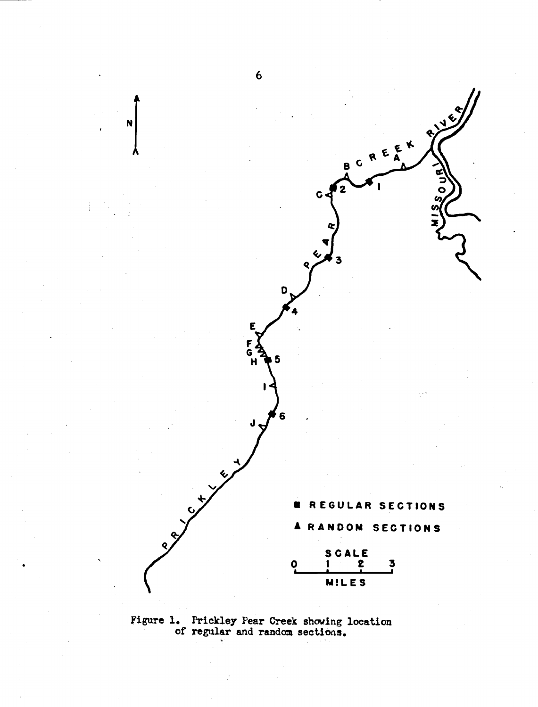

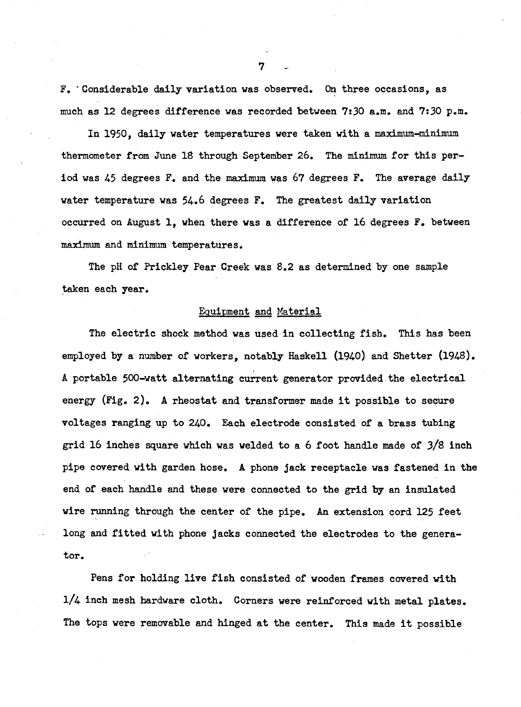**F. ' Considerable daily variation was observed. On three occasions, as much as 12 degrees difference was recorded between 7:30 a.m. and 7:30 p.m.**

**In 1950, daily water temperatures were taken with a maximum-minimum thermometer from June 18 through September 26. The minimum for this period was 45 degrees F. and the maximum was 67 degrees F. The average daily water temperature was 54.6 degrees F. The greatest daily variation occurred on August I, when there was a difference of 16 degrees F. between maximum and minimum temperatures.**

**The pH of Prickley Pear Creek was 8.2 as determined by one sample taken each year.**

## **Equipment and Material**

**The electric shock method was used in collecting fish. This has been employed by a number of workers, notably Haskell (1940) and Shatter (1948). A portable 500-watt alternating current generator provided the electrical energy (Fig. 2). A rheostat and transformer made it possible to secure voltages ranging up to 240. Each electrode consisted of a brass tubing grid 16 inches square which was welded to a 6 foot handle made of 3/8 inch pipe covered with garden hose. A phone jack receptacle was fastened in the end of each handle and these were connected to the grid by an insulated wire running through the center of the pipe. An extension cord 125 feet long and fitted with phone jacks connected the electrodes to the generator.**

**Pens for holding live fish consisted of wooden frames covered with l/4 inch mesh hardware cloth. Corners were reinforced with metal plates. The tops were removable and hinged at the center. This made it possible**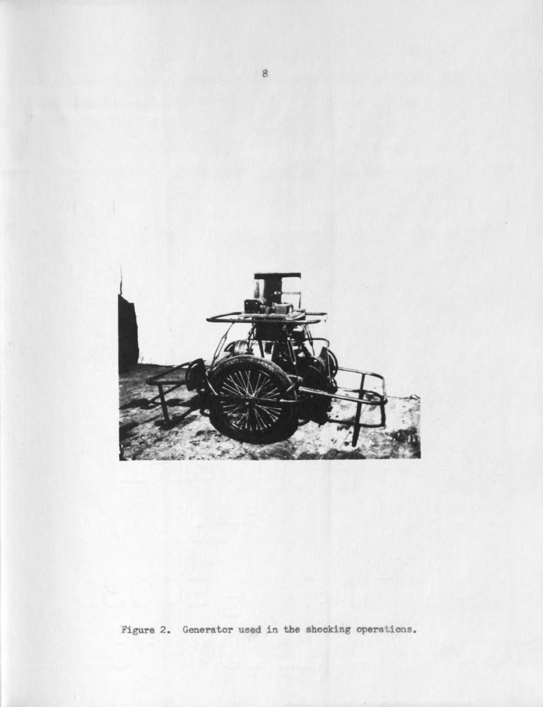

**Figure 2 Generator used in the shocking operations**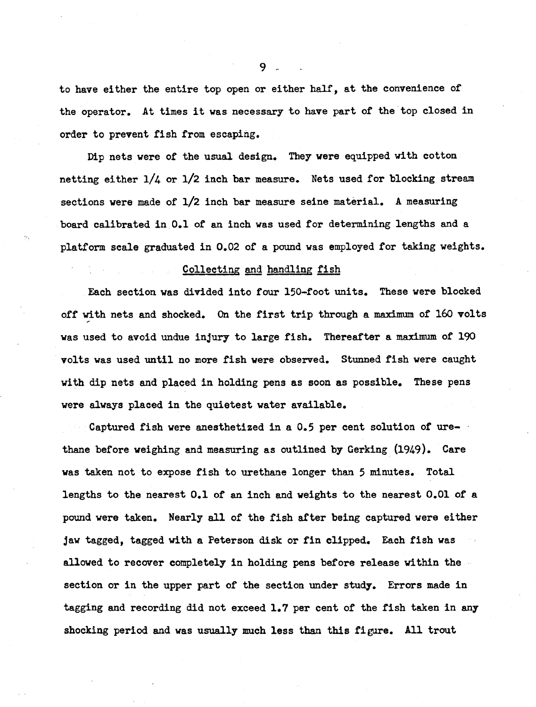**to have either the entire top open or either half, at the convenience of the operator. At times it was necessary to have part of the top closed in order to prevent fish from escaping.**

**Dip nets were of the usual design. They were equipped with cotton netting either l/4 or l/2 inch bar measure. Nets used for blocking stream sections were made of 1/2 inch bar measure seine material. A measuring board calibrated in 0.1 of an inch was used for determining lengths and a platform scale graduated in 0.02 of a pound was employed for taking weights.**

## **Collecting and handling fish**

**Each section was divided into four 150-foot units. These were blocked off with nets and shocked. On the first trip through a maximum of 160 volts was used to avoid undue injury to large fish. Thereafter a maximum of 190 volts was used until no more fish were observed. Stunned fish were caught with dip nets and placed in holding pens as soon as possible. These pens were always placed in the quietest water available.**

**Captured fish were anesthetized in a 0.5 per cent solution of urethane before weighing and measuring as outlined by Gerking (1949). Care was taken not to expose fish to urethane longer than 5 minutes. Total lengths to the nearest 0.1 of an inch and weights to the nearest 0.01 of a pound were taken. Nearly all of the fish after being captured were either jaw tagged, tagged with a Peterson disk or fin clipped. Each fish was allowed to recover completely in holding pens before release within the section or in the upper part of the section under study. Errors made in tagging and recording did not exceed 1.7 per cent of the fish taken in any shocking period and was usually much less than this figure. All trout**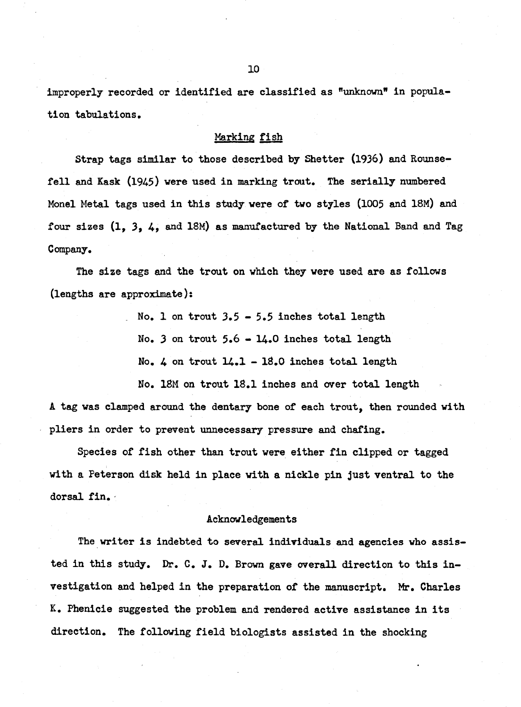**improperly recorded or identified are classified as "unknown" in population tabulations.**

## **Marking fish**

**Strap tags similar to those described by Shetter (1936) and Rounsefell and Kask (1945) were used in marking trout. The serially numbered Monel Metal tags used in this study were of two styles (1005 and 18M) and four sizes (I, 3, 4, and 18M) as manufactured by the National Band and Tag Company.**

**The size tags and the trout on which they were used are as follows (lengths are approximate):**

**. No. I on trout 3.5 - 5.5 inches total length**

**No. 3 on trout 5.6 - 14.0 inches total length**

**No. 4 on trout 14.1 - 18.0 inches total length**

**No. 18M on trout 18.1 inches and over total length A tag was clamped around the dentary bone of each trout, then rounded with pliers in order to prevent unnecessary pressure and chafing.**

**Species of fish other than trout were either fin clipped or tagged with a Peterson disk held in place with a nickle pin just ventral to the dorsal fin.**

#### **Acknowledgements**

**The writer is indebted to several individuals and agencies who assisted in this study. Dr. C. J. D. Brown gave overall direction to this investigation and helped in the preparation of the manuscript. Mr. Charles K. Phenicie suggested the problem and rendered active assistance in its direction. The following field biologists assisted in the shocking**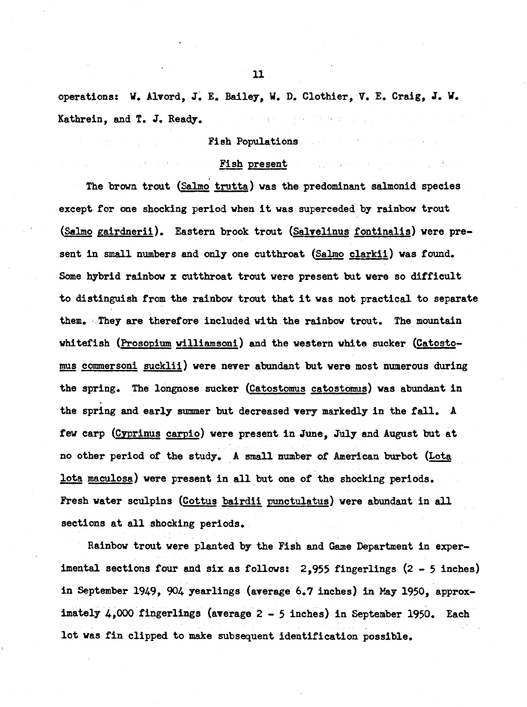**operations: W. Alvord, J. E. Bailey, V. D. Clothier, V. E. Craig, J. V. Kathrein, and T. J. Ready.** 医血管细胞 医骨髓

## **Fish Populations**

## **Fish present**

**The brown trout (Salmo trutta) was the predominant salmonid species except for one shocking period when it was superceded by rainbow trout (Salmo gairdnerii). Eastern brook trout (Salvelinus fontinalis) were present in small numbers and only one cutthroat (Salmo clarkii) was found. Some hybrid rainbow x cutthroat trout were present but were so difficult to distinguish from the rainbow trout that it was not practical to separate them. They are therefore included with the rainbow trout. The mountain whitefish (Prosopium williamsoni) and the western white sucker (Catostonms commersoni sucklii) were never abundant but were most numerous during the spring. The longnose sucker (Catostomus catostomus) was abundant in the spring and early summer but decreased very markedly in the fall. A few carp (Cyprinus carpio) were present in June, July and August but at no other period of the study. A small number of American burbot (Lota lota maculosa) were present in all but one of the shocking periods. Fresh water sculpins (Cottus bairdii punctulatus) were abundant in all sections at all shocking periods.**

**Rainbow trout were planted by the Fish and Game Department in experimental sections four and six as follows: 2,955 fingerlings (2 - 5 inches) in September 1949, 904 yearlings (average 6.7 inches) in May 1950, approximately 4,000 fingerlings (average 2 - 5 inches) in September 1950. Each lot was fin clipped to make subsequent identification possible.**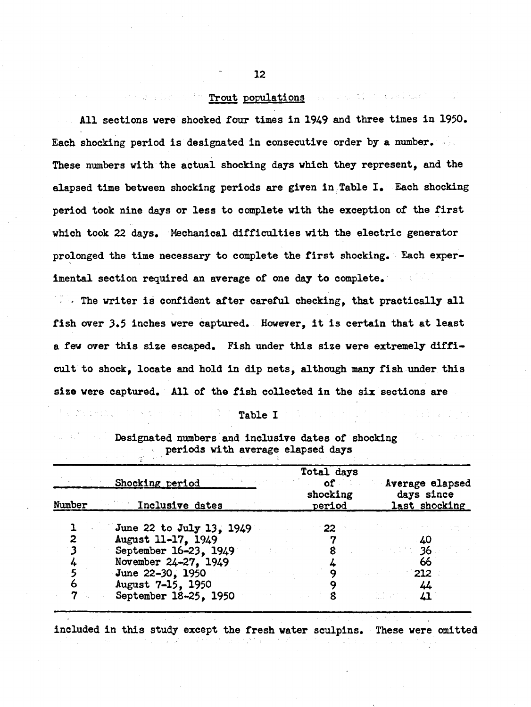## **Trout populations** and we then we have the  $\mathbb{R}^n$

**All sections were shocked four times in 1949 and three times in 1950. Each shocking period is designated in consecutive order by a number. These numbers with the actual shocking days which they represent, and the elapsed time between shocking periods are given in Table I. Each shocking period took nine days or less to complete with the exception of the first which took 22 days. Mechanical difficulties with the electric generator prolonged the time necessary to complete the first shocking. Each experimental section required an average of one day to complete.**

**The writer is confident after careful checking, that practically all fish over 3.5 inches were captured. However, it is certain that at least a few over this size escaped. Fish under this size were extremely difficult to shock, locate and hold in dip nets, although many fish under this size were captured. All of the fish collected in the six sections are**

# In factor,  $\mathbb{R}^n$  and  $\mathbb{R}^n$  are  $\mathbb{R}^n$  in  $\mathbb{R}^n$  . The  $\mathbb{R}^n$

 $\mathcal{L}^{\mathcal{L}}_{\mathcal{L}}$  , and the set of the set of the set of the set of the set of the set of the set of the set of the set of the set of the set of the set of the set of the set of the set of the set of the set of the s

Kennedy State

|                                   |  |  | Designated numbers and inclusive dates of shocking |
|-----------------------------------|--|--|----------------------------------------------------|
| periods with average elapsed days |  |  |                                                    |

|        | Shocking period          | Total days<br>$\circ$ of $\qquad$ | Average elapsed             |
|--------|--------------------------|-----------------------------------|-----------------------------|
| Number | Inclusive dates          | shocking<br>period                | days since<br>last shocking |
|        | June 22 to July 13, 1949 | 22.                               |                             |
|        | August 11-17, 1949       |                                   |                             |
|        | September 16-23, 1949    |                                   | $\sim$ 36                   |
|        | November 24-27, 1949     |                                   | 66                          |
|        | June 22-30, 1950         |                                   | 212                         |
| o      | August 7-15, 1950        |                                   |                             |
|        | September 18-25, 1950    |                                   |                             |
|        |                          |                                   |                             |

**included in this study except the fresh water sculpins. These were omitted**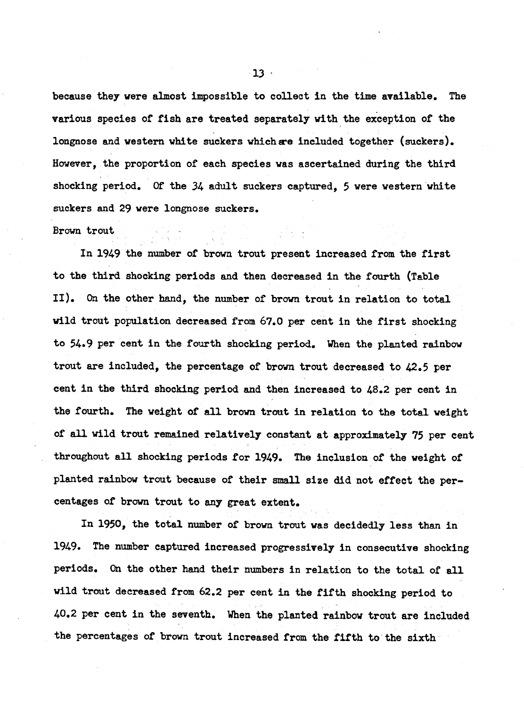**because they were almost impossible to collect in the time available. The various species of fish are treated separately with the exception of the longnose and western white suckers which are included together (suckers). However, the proportion of each species was ascertained during the third shocking period. Of the 34 adult suckers captured, 5 were western white suckers and 29 were longnose suckers.**

#### **Brown trout**

**In 1949 the number of brown trout present increased from the first to the third shocking periods and then decreased in the fourth (Table II). On the other hand, the number of brown trout in relation to total wild trout population decreased from 67.0 per cent in the first shocking to 54.9 per cent in the fourth shocking period. When the planted rainbow trout are included, the percentage of brown trout decreased to 42.5 per cent in the third shocking period and then increased to 48.2 per cent in the fourth. The weight of all brown trout in relation to the total weight of all wild trout remained relatively constant at approximately 75 per cent throughout all shocking periods for 1949. The inclusion of the weight of planted rainbow trout because of their small size did not effect the percentages of brown trout to any great extent.**

**In 1950, the total number of brown trout was decidedly less than in 1949. The number captured increased progressively in consecutive shocking** periods. On the other hand their numbers in relation to the total of all **wild trout decreased from 62.2 per cent in the fifth shocking period to 40.2 per cent in the seventh. When the planted rainbow trout are included the percentages of brown trout increased from the fifth to the sixth**

**13 '**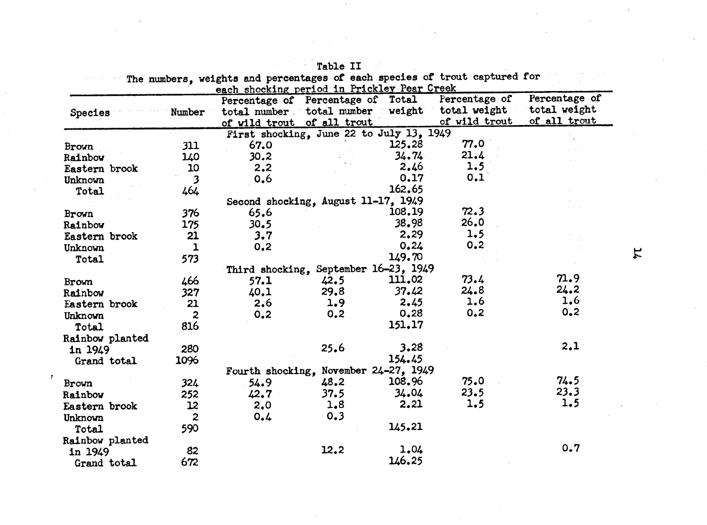| Species         | Number                  |      | Percentage of Percentage of Total<br>of wild trout of all trout |        | Percentage of<br>total number total number weight total weight<br>of wild trout | Percentage of<br>total weight<br>of all trout |
|-----------------|-------------------------|------|-----------------------------------------------------------------|--------|---------------------------------------------------------------------------------|-----------------------------------------------|
|                 |                         |      | First shocking, June 22 to July 13, 1949                        |        |                                                                                 |                                               |
| <b>Brown</b>    | 311                     | 67.0 |                                                                 | 125.28 | 77.0                                                                            |                                               |
| Rainbow         | 140                     | 30.2 |                                                                 | 34.74  | 21.4                                                                            |                                               |
| Eastern brook   | 10                      | 2.2  |                                                                 | 2.46   | 1.5                                                                             |                                               |
| Unknown         | $\overline{\mathbf{3}}$ | 0.6  |                                                                 | 0.17   | 0.1                                                                             |                                               |
| Total           | 464                     |      |                                                                 | 162.65 |                                                                                 |                                               |
|                 |                         |      | Second shocking, August 11-17, 1949                             |        |                                                                                 |                                               |
| Brown           | 376                     | 65.6 |                                                                 | 108.19 | 72.3                                                                            |                                               |
| Rainbow         | 175                     | 30.5 |                                                                 | 38.98  | 26.0                                                                            |                                               |
| Eastern brook   | 21                      | 3.7  |                                                                 | 2.29   | 1.5                                                                             |                                               |
| Unknown         | $\mathbf{1}$            | 0,2  |                                                                 | 0.24   | 0.2                                                                             |                                               |
| Total           | 573                     |      |                                                                 | 149.70 |                                                                                 |                                               |
|                 |                         |      | Third shocking, September 16-23, 1949                           |        |                                                                                 |                                               |
| <b>Brown</b>    | 466                     | 57.1 | 42.5                                                            | 111.02 | 73.4                                                                            | 71.9                                          |
| Rainbow         | 327                     | 40.1 | 29.8                                                            | 37.42  | 24.8                                                                            | 24.2                                          |
| Eastern brook   | 21                      | 2,6  | 1.9 <sub>1</sub>                                                | 2.45   | 1.6                                                                             | 1,6                                           |
| Unknown         | $\overline{c}$          | 0.2  | 0.2                                                             | 0.28   | 0,2                                                                             | 0, 2                                          |
| Total           | 816                     |      |                                                                 | 151.17 |                                                                                 |                                               |
| Rainbow planted |                         |      |                                                                 |        |                                                                                 |                                               |
| in 1949         | 280                     |      | 25.6                                                            | 3.28   |                                                                                 | 2.1                                           |
| Grand total     | 1096                    |      |                                                                 | 154.45 |                                                                                 |                                               |
|                 |                         |      | Fourth shocking, November 24-27, 1949                           |        |                                                                                 |                                               |
| Brown           | 324                     | 54.9 | 48.2                                                            | 108.96 | 75.0                                                                            | 74.5                                          |
| Rainbow         | 252                     | 42.7 | 37.5                                                            | 34.04  | 23.5                                                                            | 23.3                                          |
| Eastern brook   | 12                      | 2,0  | 1.8                                                             | 2.21   | 1.5                                                                             | 1.5                                           |
| Unknown         | $\overline{2}$          | 0.4  | 0.3                                                             |        |                                                                                 |                                               |
|                 | 590                     |      |                                                                 | 145.21 |                                                                                 |                                               |
| Total           |                         |      |                                                                 |        |                                                                                 |                                               |
| Rainbow planted | 82                      |      | 12.2                                                            | 1.04   |                                                                                 | 0.7                                           |
| in 1949         |                         |      |                                                                 | 146.25 |                                                                                 |                                               |
| Grand total     | 672                     |      |                                                                 |        |                                                                                 |                                               |

**Table II**

 $\sharp$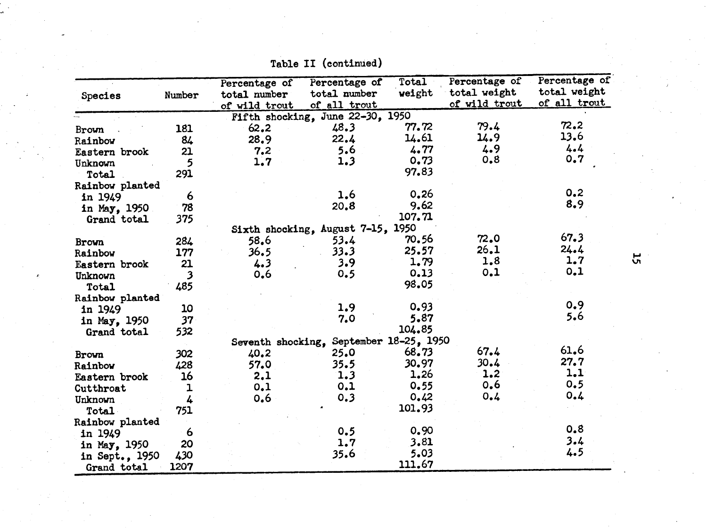| Species                       | Number                  | Percentage of<br>total number | Percentage of<br>total number           | $\overline{\text{Total}}$<br>weight | Percentage of<br>total weight | Percentage of<br>total weight |
|-------------------------------|-------------------------|-------------------------------|-----------------------------------------|-------------------------------------|-------------------------------|-------------------------------|
|                               |                         | of wild trout                 | of all trout                            |                                     | of wild trout                 | of all trout                  |
|                               |                         |                               | Fifth shocking, June 22-30, 1950        |                                     |                               |                               |
| Brown                         | 181                     | 62, 2                         | 48.3                                    | 77.72                               | 79.4                          | 72.2                          |
| Rainbow                       | 84                      | 28.9                          | 22.4                                    | 14.61                               | 14.9                          | 13.6                          |
| Eastern brook                 | 21                      | 7.2                           | 5.6                                     | 4.77                                | 4.9                           | 4.4                           |
| Unknown                       | 5                       | 1.7                           | 1.3                                     | 0.73                                | 0.8                           | 0.7                           |
| Total                         | 291                     |                               |                                         | 97.83                               |                               |                               |
| Rainbow planted               |                         |                               |                                         |                                     |                               |                               |
| in 1949                       | 6                       |                               | 1.6                                     | 0,26                                |                               | 0.2                           |
| in May, 1950                  | 78                      |                               | 20.8                                    | 9.62                                |                               | 8.9                           |
| Grand total                   | 375                     |                               |                                         | 107.71                              |                               |                               |
|                               |                         |                               | Sixth shocking, August 7-15, 1950       |                                     |                               |                               |
| Brown                         | 284                     | 58.6                          | 53.4                                    | 70.56                               | 72.0                          | 67.3                          |
| Rainbow                       | 177                     | 36.5                          | 33.3                                    | 25.57                               | 26.1                          | 24.4                          |
| Eastern brook                 | 21                      | 4.3                           | 3.9                                     | 1.79                                | 1.8                           | 1.7                           |
| Unknown                       | $\overline{\mathbf{3}}$ | 0,6                           | 0.5                                     | 0.13                                | 0,1                           | 0.1                           |
| Total                         | 485                     |                               |                                         | 98.05                               |                               |                               |
| Rainbow planted               |                         |                               |                                         |                                     |                               |                               |
| in 1949                       | 10                      |                               | 1.9                                     | 0.93                                |                               | 0.9                           |
| in May, 1950                  | 37 <sub>1</sub>         |                               | 7.0                                     | 5.87                                |                               | 5.6                           |
| Grand total                   | 532                     |                               |                                         | 104.85                              |                               |                               |
|                               |                         |                               | Seventh shocking, September 18-25, 1950 |                                     |                               |                               |
| Brown                         | 302                     | 40.2                          | 25.0                                    | 68.73                               | 67.4                          | 61.6                          |
| Rainbow                       | 428                     | 57.0                          | 35.5                                    | 30.97                               | 30.4                          | 27.7                          |
| Eastern brook                 | 16                      | 2.1                           | 1.3                                     | 1.26                                | 1.2                           | 1.1                           |
| Cutthroat                     | ı                       | 0.1                           | 0,1                                     | 0.55                                | 0,6                           | 0.5                           |
| Unknown                       | 4                       | 0,6                           | 0.3                                     | 0.42                                | 0.4                           | 0.4                           |
| Total                         | 751                     |                               |                                         | 101.93                              |                               |                               |
| Rainbow planted               |                         |                               |                                         |                                     |                               |                               |
| in 1949                       | 6                       |                               | 0.5                                     | 0.90                                |                               | 0.8                           |
| in May, 1950                  | 20                      |                               | 1.7                                     | 3.81                                |                               | 3.4                           |
|                               | 430                     |                               | 35.6                                    | 5.03                                |                               | 4.5                           |
| in Sept., 1950<br>Grand total | 1207                    |                               |                                         | 111.67                              |                               |                               |

**Table II (continued)**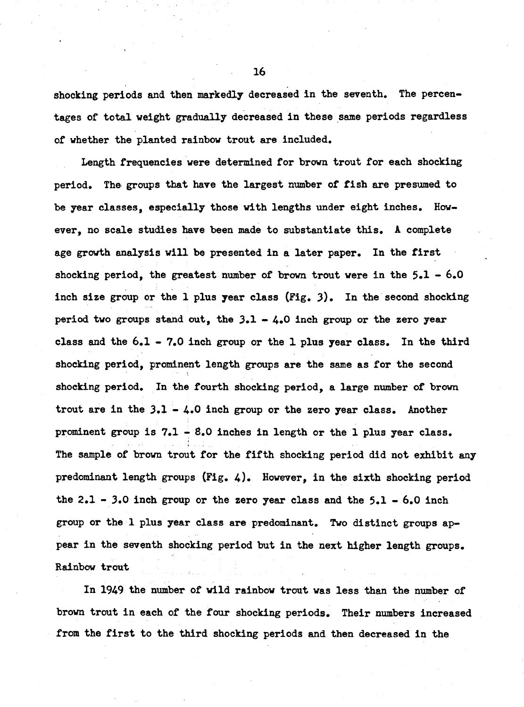**shocking periods and then markedly decreased in the seventh. The percentages of total weight gradually decreased in these same periods regardless of whether the planted rainbow trout are included.**

**Length frequencies were determined for brown trout for each shocking period. The groups that have the largest number of fish are presumed to be year classes, especially those with lengths under eight inches. However, no scale studies have been made to substantiate this. A complete age growth analysis will be presented in a later paper. In the first shocking period, the greatest number of brown trout were in the 5.1 - 6.0 inch size group or the I plus year class (Fig. 3). In the second shocking period two groups stand out, the 3.1 - 4.0 inch group or the zero year class and the 6.1 - 7.0 inch group or the I plus year class. In the third shocking period, prominent length groups are the same as for the second ■ " shocking period. In the fourth shocking period, a large number of brown trout are in the 3.1 - 4.0 inch group or the zero year class. Another prominent group is 7.1 - 8.0 inches in length or the I plus year class. The sample of brown trout for the fifth shocking period did not exhibit any predominant length groups (Fig. 4). However, in the sixth shocking period the 2.1 - 3.0 inch group or the zero year class and the 5.1 - 6.0 inch group or the I plus year class are predominant. Two distinct groups appear in the seventh shocking period but in the next higher length groups. Rainbow trout**

**In 1949 the number of wild rainbow trout was less than the number of brown trout in each of the four shocking periods. Their numbers increased from the first to the third shocking periods and then decreased in the**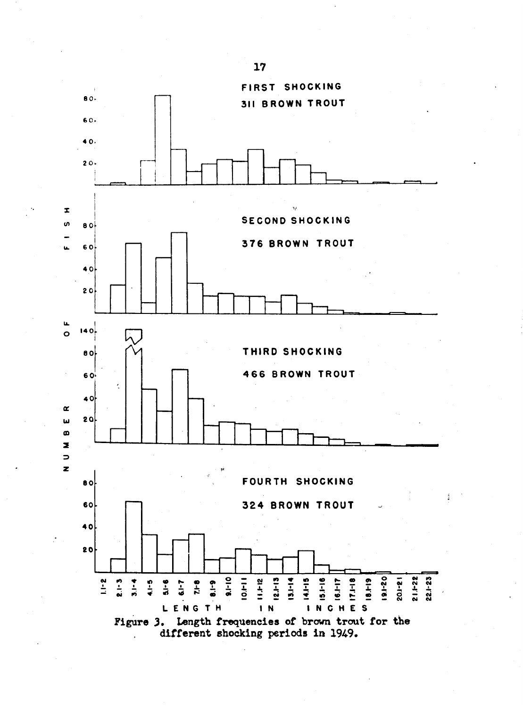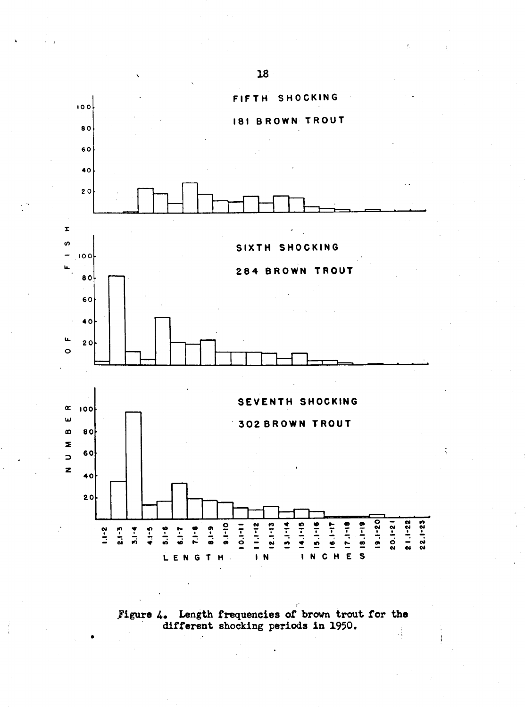

Figure 4. Length frequencies of brown trout for the different shocking periods in 1950.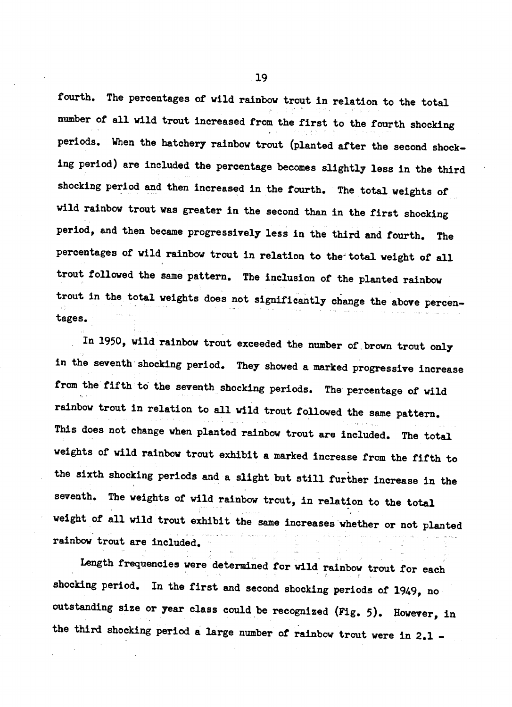fourth. The percentages of wild rainbow trout in relation to the total number of all wild trout increased from the first to the fourth shocking periods. When the hatchery rainbow trout (planted after the second shocking period) are included the percentage becomes slightly less in the third shocking period and then increased in the fourth. The total weights of wild rainbow trout was greater in the second than in the first shocking period, and then became progressively less in the third and fourth. The percentages of wild rainbow trout in relation to the total weight of all trout followed the same pattern. The inclusion of the planted rainbow trout in the total weights does not significantly change the above percentages.

In 1950, wild rainbow trout exceeded the number of brown trout only in the seventh shocking period. They showed a marked progressive increase from the fifth to the seventh shocking periods. The percentage of wild rainbow trout in relation to all wild trout followed the same pattern. This does not change when planted rainbow trout are included. The total weights of wild rainbow trout exhibit a marked increase from the fifth to the sixth shocking periods and a slight but still further increase in the seventh. The weights of wild rainbow trout, in relation to the total weight of all wild trout exhibit the same increases whether or not planted rainbow trout are included.

Length frequencies were determined for wild rainbow trout for each shocking period. In the first and second shocking periods of 1949, no outstanding size or year class could be recognized (Fig. 5). However, in the third shocking period a large number of rainbow trout were in 2.1 -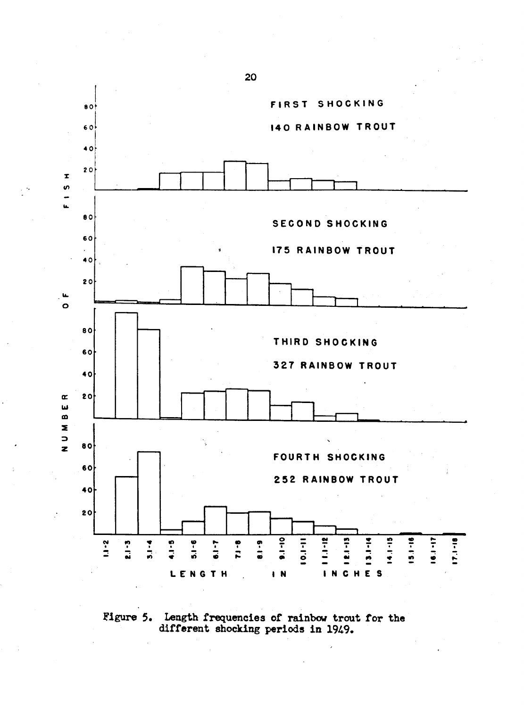

Figure 5. Length frequencies of rainbow trout for the different shocking periods in 1949.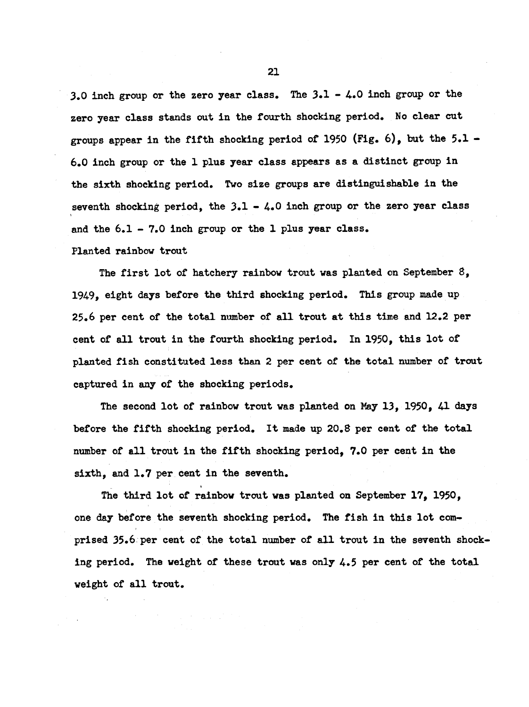3.0 inch group or the zero year class. The  $3.1 - 4.0$  inch group or the zero year class stands out in the fourth shocking period. No clear cut groups appear in the fifth shocking period of 1950 (Fig. 6), but the  $5.1$  -6.0 inch group or the 1 plus year class appears as a distinct group in the sixth shocking period. Two size groups are distinguishable in the seventh shocking period, the  $3.1 - 4.0$  inch group or the zero year class and the  $6.1 - 7.0$  inch group or the 1 plus year class.

Planted rainbow trout

The first lot of hatchery rainbow trout was planted on September  $8$ , 1949, eight days before the third shocking period. This group made up 25.6 per cent of the total number of all trout at this time and 12.2 per cent of all trout in the fourth shocking period. In 1950, this lot of planted fish constituted less than 2 per cent of the total number of trout captured in any of the shocking periods.

The second lot of rainbow trout was planted on May 13, 1950, 41 days before the fifth shocking period. It made up 20.8 per cent of the total number of all trout in the fifth shocking period, 7.0 per cent in the sixth, and 1.7 per cent in the seventh.

The third lot of rainbow trout was planted on September 17, 1950, one day before the seventh shocking period. The fish in this lot comprised 35.6 per cent of the total number of all trout in the seventh shocking period. The weight of these trout was only 4.5 per cent of the total weight of all trout.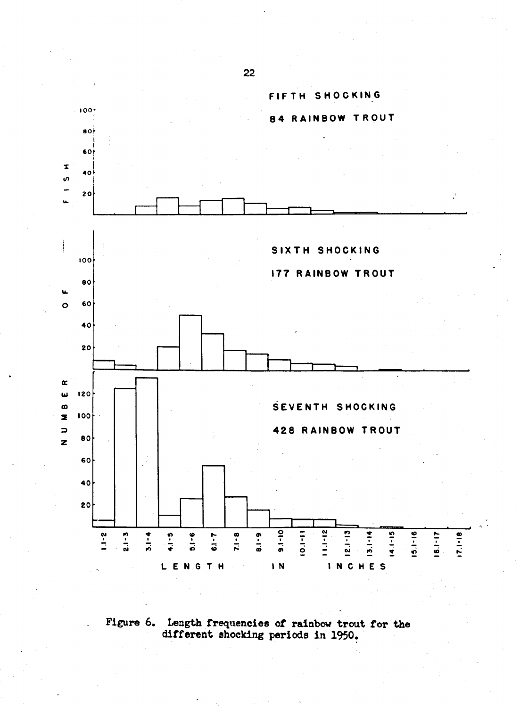

Figure 6. Length frequencies of rainbow trout for the different shocking periods in 1950.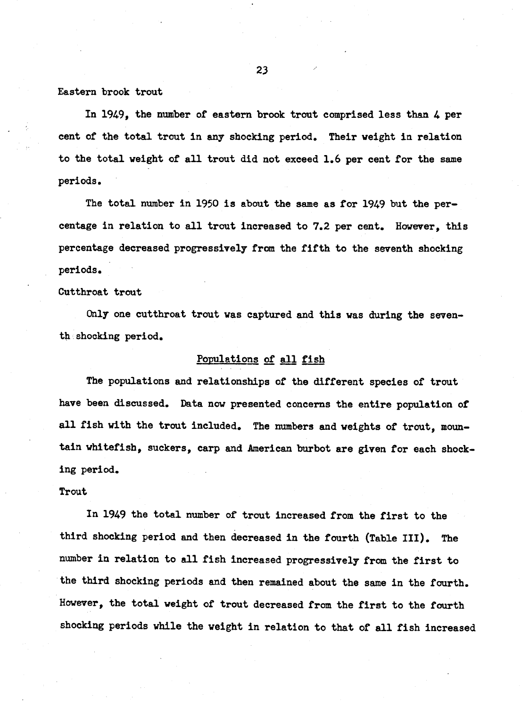#### Eastern brook trout

In 1949, the number of eastern brook trout comprised less than 4 per cent of the total trout in any shocking period. Their weight in relation to the total weight of all trout did not exceed 1.6 per cent for the same periods.

The total number in 1950 is about the same as for 1949 but the percentage in relation to all trout increased to 7.2 per cent. However, this percentage decreased progressively from the fifth to the seventh shocking periods.

#### Cutthroat trout

Only one cutthroat trout was captured and this was during the seventh shocking period.

## Populations of all fish

The populations and relationships of the different species of trout have been discussed. Data now presented concerns the entire population of all fish with the trout included. The numbers and weights of trout, mountain whitefish, suckers, carp and American burbot are given for each shocking period.

## Trout

In 1949 the total number of trout increased from the first to the third shocking period and then decreased in the fourth (Table III). The number in relation to all fish increased progressively from the first to the third shocking periods and then remained about the same in the fourth. However, the total weight of trout decreased from the first to the fourth shocking periods while the weight in relation to that of all fish increased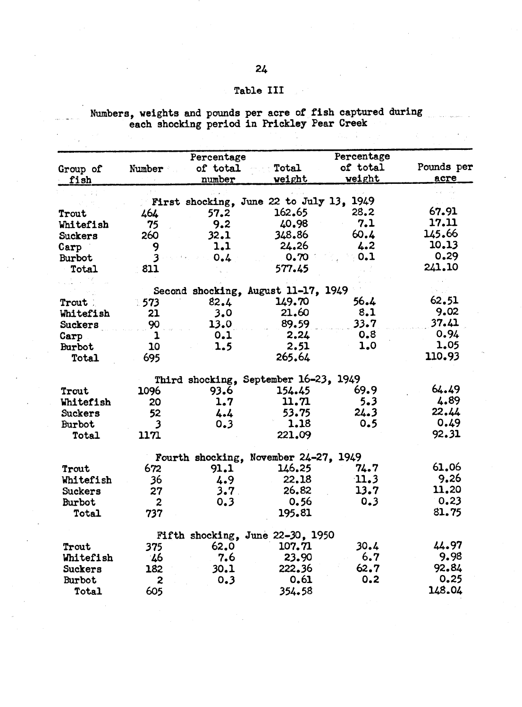# Table III

 $\sim$   $\sim$ 

|                |                         | Percentage                               |               | Percentage    |            |
|----------------|-------------------------|------------------------------------------|---------------|---------------|------------|
| Group of       | Number                  | of total                                 | Total         | of total      | Pounds per |
| fish           |                         | number                                   | <b>weight</b> | <u>weight</u> | acre       |
|                |                         |                                          |               |               |            |
|                |                         | First shocking, June 22 to July 13, 1949 |               |               |            |
| Trout          | 464                     | 57.2                                     | 162.65        | 28.2          | 67.91      |
| Whitefish      | 75                      | 9.2                                      | 40.98         | 7.1           | 17.11      |
| <b>Suckers</b> | 260                     | 32.1                                     | 348.86        | 60.4          | 145.66     |
| Carp           | 9                       | 1.1                                      | 24.26         | 4.2           | 10.13      |
| Burbot         | 3                       | 0.4                                      | 0.70          | 0.1           | 0.29       |
| Total          | 811                     |                                          | 577.45        |               | 241.10     |
|                |                         |                                          |               |               |            |
|                |                         | Second shocking, August 11-17, 1949      |               |               |            |
| Trout          | .573                    | 82.4                                     | 149.70        | 56.4          | 62.51      |
| Whitefish      | 21                      | 3.0                                      | 21.60         | 8.1           | 9.02       |
| Suckers        | 90                      | 13.0                                     | 89.59         | 33.7          | 37.41      |
| Carp           | $\mathbf{1}$            | 0.1                                      | 2.24          | 0.8           | 0.94       |
| Burbot         | 10                      | 1.5                                      | 2.51          | 1.0           | 1.05       |
| Total          | 695                     |                                          | 265.64        |               | 110.93     |
|                |                         | Third shocking, September 16-23, 1949    |               |               |            |
| Trout          | 1096                    | 93.6                                     | 154.45        | 69.9          | 64.49      |
| Whitefish      | 20                      | 1.7                                      | 11.71         | 5.3           | 4.89       |
| <b>Suckers</b> | 52                      | 4.4                                      | 53.75         | 24.3          | 22.44      |
| Burbot         | $\overline{\mathbf{3}}$ | 0.3                                      | 1.18          | 0.5           | 0.49       |
| Total          | 1171                    |                                          | 221.09        |               | 92.31      |
|                |                         | Fourth shocking, November 24-27, 1949    |               |               |            |
| Trout          | 672                     | 91.1                                     | 146.25        | 74.7          | 61.06      |
| Whitefish      | 36                      | 4.9                                      | 22.18         | 11.3          | 9.26       |
| Suckers        | 27                      | 3.7 <sub>1</sub>                         | 26.82         | 13.7          | 11.20      |
| Burbot         | $\boldsymbol{2}$        | 0.3                                      | 0.56          | 0.3           | 0.23       |
| Total          | 737                     |                                          | 195.81        |               | 81.75      |
|                |                         | Fifth shocking, June 22-30, 1950         |               |               |            |
| Trout          | 375                     | 62.0                                     | 107.71        | 30.4          | 44.97      |
| Whitefish      | 46                      | 7.6                                      | 23.90         | 6.7           | 9.98       |
| Suckers        | 182                     | 30.1                                     | 222.36        | 62.7          | 92.84      |
| Burbot         | 2                       | 0.3                                      | 0.61          | 0.2           | 0.25       |
| Total          | 605                     |                                          | 354.58        |               | 148.04     |

# Numbers, weights and pounds per acre of fish captured during<br>each shocking period in Prickley Pear Creek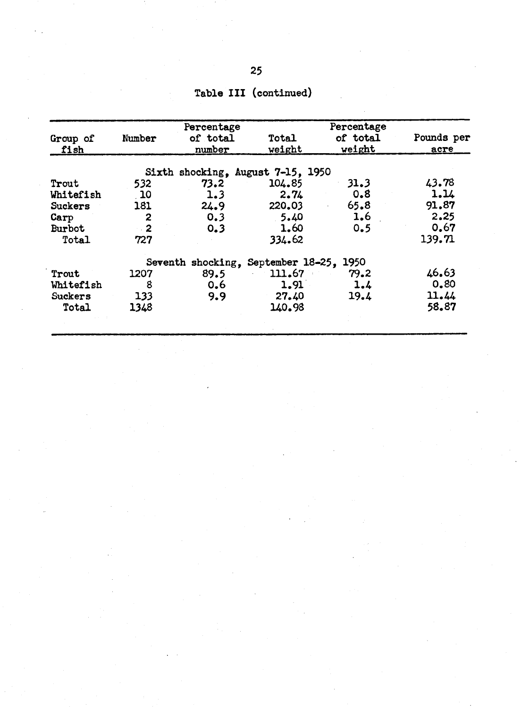| Group of       | Number      | Percentage<br>of total             | <b>Total</b> | Percentage<br>of total | Pounds per |
|----------------|-------------|------------------------------------|--------------|------------------------|------------|
| fish           |             | number                             | weight       | weight                 | acre       |
|                |             | Sixth shocking, August 7-15, 1950  |              |                        |            |
| Trout          | 532         | 73.2                               | 104.85       | 31.3                   | 43.78      |
| Whitefish      | $\sqrt{10}$ | 1.3                                | 2.74         | 0.8                    | 1.14       |
| <b>Suckers</b> | 181         | 24.9                               | 220.03       | 65.8                   | 91.87      |
| Carp           | 2           | 0.3                                | 5.40         | 1.6                    | 2.25       |
| <b>Burbot</b>  | $\cdot$ 2   | 0.3                                | 1.60         | 0.5                    | 0.67       |
| Total          | 727         |                                    | 334.62       |                        | 139.71     |
|                |             | Seventh shocking, September 18-25, |              | 1950                   |            |
| Trout          | 1207        | 89.5                               | 111.67       | 79.2                   | 46.63      |
| Whitefish      | 8           | 0.6                                | 1.91         | 1.4                    | 0.80       |
| <b>Suckers</b> | 133         | 9.9                                | 27.40        | 19.4                   | 11.44      |
| Total          | 1348        |                                    | 140.98       |                        | 58.87      |
|                |             |                                    |              |                        |            |

Table III (continued)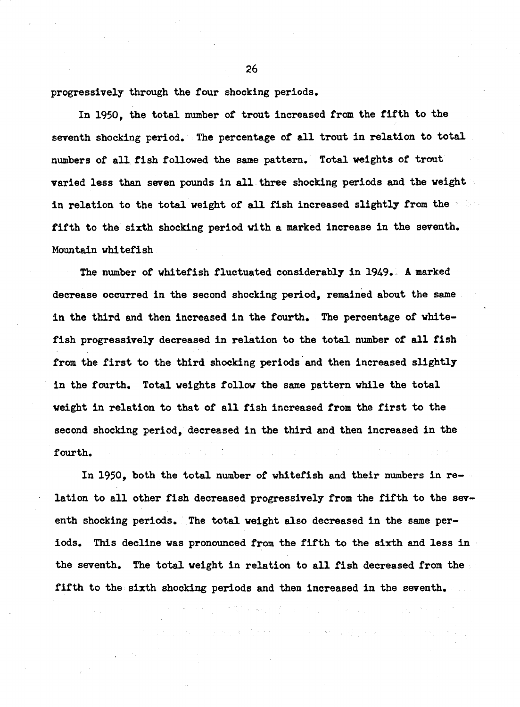progressively through the four shocking periods.

In 1950, the total number of trout increased from the fifth to the seventh shocking period. The percentage of all trout in relation to total numbers of all fish followed the same pattern. Total weights of trout varied less than seven pounds in all three shocking periods and the weight in relation to the total weight of all fish increased slightly from the fifth to the sixth shocking period with a marked increase in the seventh. Mountain whitefish

The number of whitefish fluctuated considerably in 1949. A marked decrease occurred in the second shocking period. remained about the same in the third and then increased in the fourth. The percentage of whitefish progressively decreased in relation to the total number of all fish from the first to the third shocking periods and then increased slightly in the fourth. Total weights follow the same pattern while the total weight in relation to that of all fish increased from the first to the second shocking period, decreased in the third and then increased in the fourth.

In 1950, both the total number of whitefish and their numbers in relation to all other fish decreased progressively from the fifth to the seventh shocking periods. The total weight also decreased in the same periods. This decline was pronounced from the fifth to the sixth and less in the seventh. The total weight in relation to all fish decreased from the fifth to the sixth shocking periods and then increased in the seventh.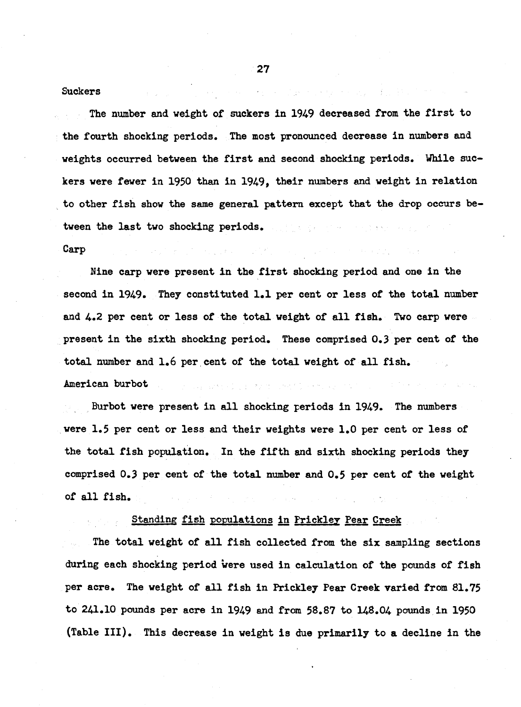#### **Suckers**

The number and weight of suckers in 1949 decreased from the first to the fourth shocking periods. The most pronounced decrease in numbers and weights occurred between the first and second shocking periods. While suckers were fewer in 1950 than in 1949, their numbers and weight in relation to other fish show the same general pattern except that the drop occurs between the last two shocking periods. The same states of the state of the state of the state of the state of the

Carp

Nine carp were present in the first shocking period and one in the second in 1949. They constituted 1.1 per cent or less of the total number and 4.2 per cent or less of the total weight of all fish. Two carp were present in the sixth shocking period. These comprised 0.3 per cent of the total number and 1.6 per cent of the total weight of all fish. American burbot companies and the property and the company

Burbot were present in all shocking periods in 1949. The numbers were 1.5 per cent or less and their weights were 1.0 per cent or less of the total fish population. In the fifth and sixth shocking periods they comprised 0.3 per cent of the total number and 0.5 per cent of the weight of all fish.

## Standing fish populations in Prickley Pear Creek

The total weight of all fish collected from the six sampling sections during each shocking period were used in calculation of the pounds of fish per acre. The weight of all fish in Prickley Pear Creek varied from 81.75 to 241.10 pounds per acre in 1949 and from 58.87 to 148.04 pounds in 1950 (Table III). This decrease in weight is due primarily to a decline in the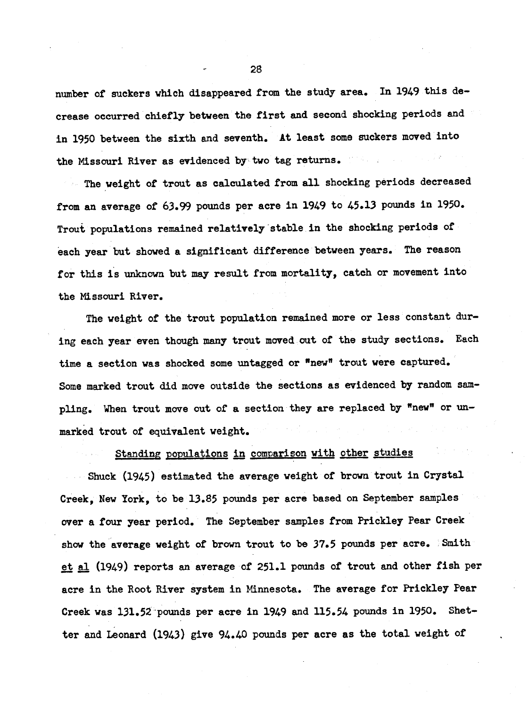number of suckers which disappeared from the study area. In 1949 this decrease occurred chiefly between the first and second shocking periods and in 1950 between the sixth and seventh. At least some suckers moved into the Missouri River as evidenced by two tag returns.

The weight of trout as calculated from all shocking periods decreased from an average of 63.99 pounds per acre in 1949 to 45.13 pounds in 1950. Trout populations remained relatively stable in the shocking periods of each year but showed a significant difference between years. The reason for this is unknown but may result from mortality, catch or movement into the Missouri River.

The weight of the trout population remained more or less constant during each year even though many trout moved out of the study sections. Each time a section was shocked some untagged or "new" trout were captured. Some marked trout did move outside the sections as evidenced by random sampling. When trout move out of a section they are replaced by "new" or unmarked trout of equivalent weight.

Standing populations in comparison with other studies

Shuck (1945) estimated the average weight of brown trout in Crystal Creek, New York, to be 13.85 pounds per acre based on September samples over a four year period. The September samples from Prickley Pear Creek show the average weight of brown trout to be 37.5 pounds per acre. Smith et al (1949) reports an average of 251.1 pounds of trout and other fish per acre in the Root River system in Minnesota. The average for Prickley Pear Creek was 131.52 pounds per acre in 1949 and 115.54 pounds in 1950. Shetter and Leonard (1943) give 94.40 pounds per acre as the total weight of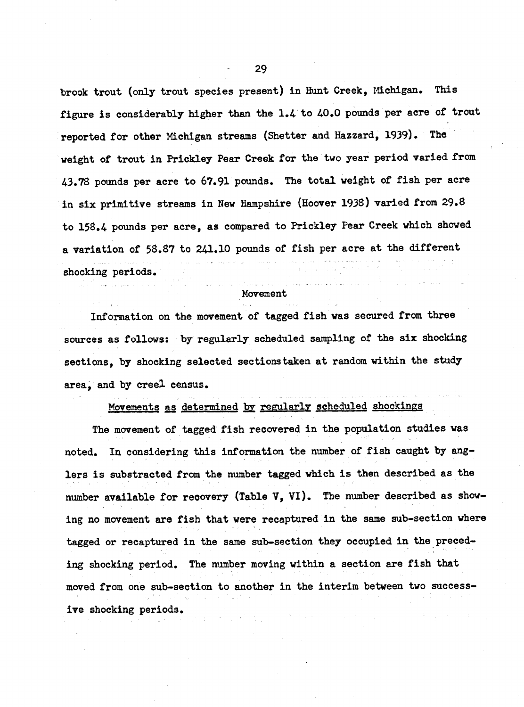brook trout (only trout species present) in Hunt Creek, Michigan. This figure is considerably higher than the 1.4 to 40.0 pounds per acre of trout reported for other Michigan streams (Shetter and Hazzard, 1939). The weight of trout in Prickley Pear Creek for the two year period varied from 43.78 pounds per acre to 67.91 pounds. The total weight of fish per acre in six primitive streams in New Hampshire (Hoover 1938) varied from 29.8 to 158.4 pounds per acre, as compared to Prickley Pear Creek which showed a variation of 58.87 to 241.10 pounds of fish per acre at the different shocking periods.

## Movement

Information on the movement of tagged fish was secured from three sources as follows: by regularly scheduled sampling of the six shocking sections, by shocking selected sections taken at random within the study area, and by creel census.

Movements as determined by regularly scheduled shockings

The movement of tagged fish recovered in the population studies was noted. In considering this information the number of fish caught by anglers is substracted from the number tagged which is then described as the number available for recovery (Table V, VI). The number described as showing no movement are fish that were recaptured in the same sub-section where tagged or recaptured in the same sub-section they occupied in the preceding shocking period. The number moving within a section are fish that moved from one sub-section to another in the interim between two successive shocking periods.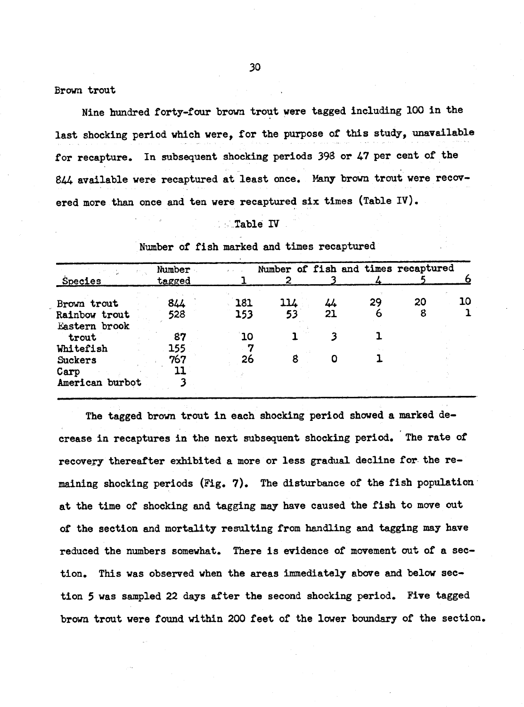Brown trout

Nine hundred forty-four brown trout were tagged including 100 in the last shocking period which were, for the purpose of this study, unavailable for recapture. In subsequent shocking periods 398 or 47 per cent of the 844 available were recaptured at least once. Many brown trout were recovered more than once and ten were recaptured six times (Table IV).

#### Table IV

| <b>Species</b>  | Number<br><b>tagged</b> |     | 2   |    | Number of fish and times recaptured |    |    |
|-----------------|-------------------------|-----|-----|----|-------------------------------------|----|----|
| Brown trout     | 844                     | 181 | 114 | 44 | 29                                  | 20 | 10 |
| Rainbow trout   | 528                     | 153 | 53  | 21 | 6                                   | 8  |    |
| Eastern brook   |                         |     |     |    |                                     |    |    |
| trout           | 87                      | 10  |     |    |                                     |    |    |
| Whitefish       | 155                     |     |     |    |                                     |    |    |
| Suckers         | 767                     | 26  | 8   | Ω  |                                     |    |    |
| Carp            |                         |     |     |    |                                     |    |    |
| American burbot |                         |     |     |    |                                     |    |    |

Number of fish marked and times recaptured

The tagged brown trout in each shocking period showed a marked decrease in recaptures in the next subsequent shocking period. The rate of recovery thereafter exhibited a more or less gradual decline for the remaining shocking periods (Fig. 7). The disturbance of the fish population at the time of shocking and tagging may have caused the fish to move out of the section and mortality resulting from handling and tagging may have reduced the numbers somewhat. There is evidence of movement out of a section. This was observed when the areas immediately above and below section 5 was sampled 22 days after the second shocking period. Five tagged brown trout were found within 200 feet of the lower boundary of the section.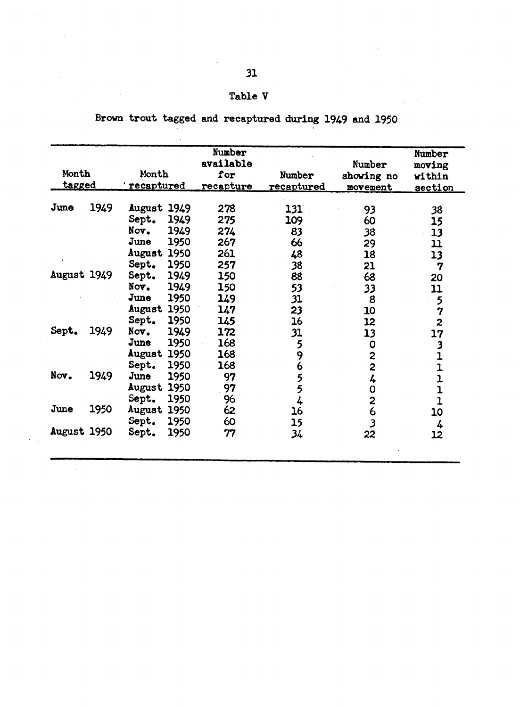#### Tabl

Brown trout tagged and recaptured during 1949 and 1950

| Month<br><b>tagged</b> |      | Month<br>recaptured                                                                                 | Number<br>available<br>for<br>recapture | Number<br>recaptured               | Number<br>showing no<br>movement            | Number<br>moving<br>within<br><u>section</u> |
|------------------------|------|-----------------------------------------------------------------------------------------------------|-----------------------------------------|------------------------------------|---------------------------------------------|----------------------------------------------|
| <b>June</b>            | 1949 | August 1949<br>Sept.<br>1949<br>Nov.<br>1949<br>June<br>1950<br><b>August 1950</b><br>1950<br>Sept. | 278<br>275<br>274<br>267<br>261<br>257  | 131<br>109<br>83<br>66<br>48<br>38 | 93<br>60<br>38<br>29<br>18<br>21            | 38<br>15<br>13<br>$\mathbf{u}$<br>13<br>7    |
| August 1949            |      | Sept.<br>1949<br>1949<br>Nov.<br>June<br>1950<br>August 1950<br>Sept.<br>1950                       | 150<br>150<br>149<br>147<br>145         | 88<br>53<br>31<br>23<br>16         | 68<br>33<br>8<br>10<br>12                   | 20<br>11<br>5<br>7<br>2                      |
| Sept.                  | 1949 | 1949<br>Nov.<br>1950<br>June<br>August 1950<br>Sept.<br>1950                                        | 172<br>168<br>168<br>168                | 31<br>5<br>9<br>6                  | 13<br>0<br>$\frac{2}{2}$                    | 17<br>$\frac{3}{1}$<br>$\bar{\mathbf{1}}$    |
| Nov.                   | 1949 | 1950<br>June<br><b>August 1950</b><br>Sept.<br>1950                                                 | 97<br>97<br>96                          | 5<br>5<br>4                        | 4<br>$\mathbf 0$<br>$\overline{\mathbf{c}}$ | $\begin{array}{c} 1 \\ 1 \\ 1 \end{array}$   |
| June                   | 1950 | August 1950<br>Sept.<br>1950                                                                        | 62<br>60                                | 16<br>15                           | $\ddot{6}$<br>$\overline{\mathbf{3}}$       | 10<br>4                                      |
| August 1950            |      | Sept.<br>1950                                                                                       | 77                                      | 34                                 | 22                                          | 12                                           |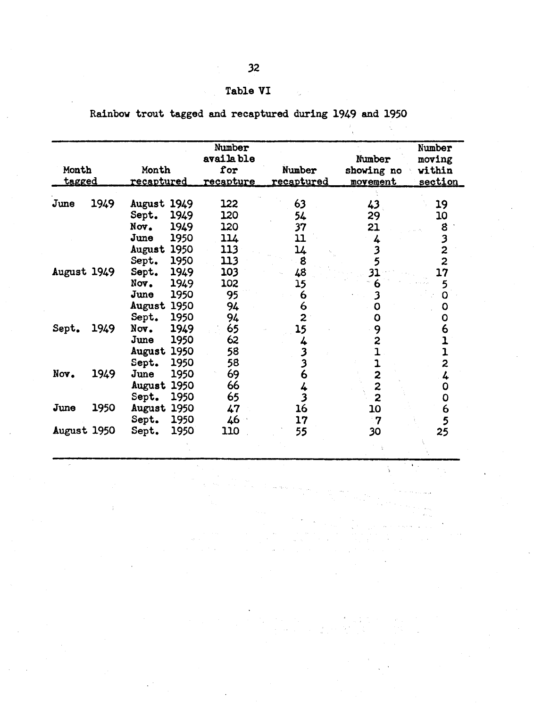#### Table

| Rainbow trout tagged and recaptured during 1949 and 1950 |  |  |  |  |  |  |  |  |  |
|----------------------------------------------------------|--|--|--|--|--|--|--|--|--|
|----------------------------------------------------------|--|--|--|--|--|--|--|--|--|

| Month<br><u>tagged</u> |      | Month<br><u>recaptured</u>                                                                   | Number<br>availa ble<br>for<br><u>recapture</u> | Number<br>recaptured                 | Number<br>showing no<br>movement                    | Number<br>moving<br>vithin<br><u>section</u> |
|------------------------|------|----------------------------------------------------------------------------------------------|-------------------------------------------------|--------------------------------------|-----------------------------------------------------|----------------------------------------------|
| June                   | 1949 | August 1949<br>1949<br>Sept.<br>Nov.<br>1949<br>1950<br>June<br>August 1950<br>Sept.<br>1950 | 122<br>120<br>120<br>114<br>113<br>113          | 63<br>54<br>37<br>11<br>14<br>8      | 43<br>29<br>21<br>4<br>$\overline{\mathbf{3}}$<br>5 | 19<br>10<br>8<br>3<br>2<br>$\overline{2}$    |
| August 1949            |      | 1949<br>Sept.<br>1949<br>Nov.<br>1950<br>June<br>August 1950<br>Sept.<br>1950                | 103<br>102<br>95<br>94<br>94                    | 48<br>15<br>6<br>6<br>$\overline{2}$ | 31<br>6<br>3<br>O<br>Ο                              | 17<br>5<br>0<br>Ο<br>0                       |
| Sept.                  | 1949 | 1949<br>Nov.<br>1950<br>June<br>August 1950<br>Sept.<br>1950                                 | 65<br>62<br>58<br>58                            | 15<br>4<br>3<br>3                    | 9<br>2                                              | 6<br>1<br>$\overline{\mathbf{z}}$            |
| Nov.                   | 1949 | 1950<br>June<br>August 1950<br>Sept.<br>1950                                                 | 69<br>66<br>65                                  | 6<br>4<br>3                          | 2<br>$\overline{2}$<br>$\overline{2}$               | 4<br>0<br>0                                  |
| June                   | 1950 | August 1950<br>1950<br>Sept.                                                                 | 47<br>46                                        | 16<br>17                             | 10<br>ె 7                                           | 6<br>5                                       |
| August 1950            |      | 1950<br>Sept.                                                                                | 110                                             | 55                                   | 30                                                  | 25                                           |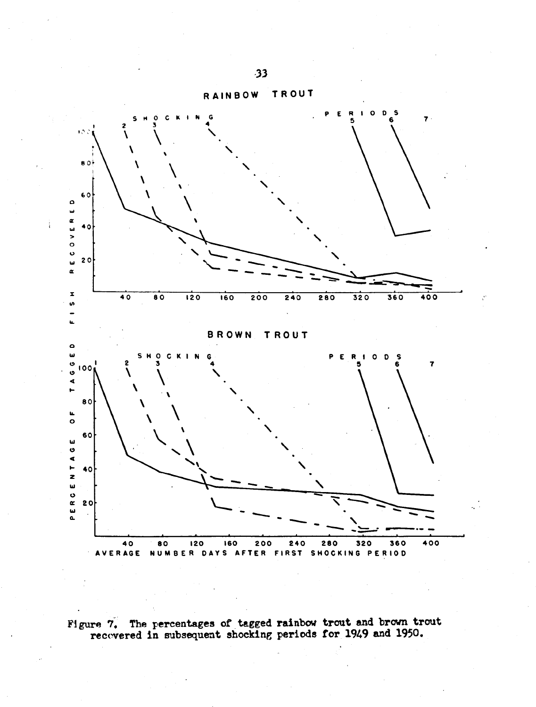

Ì.

Figure 7. The percentages of tagged rainbow trout and brown trout recovered in subsequent shocking periods for 1949 and 1950.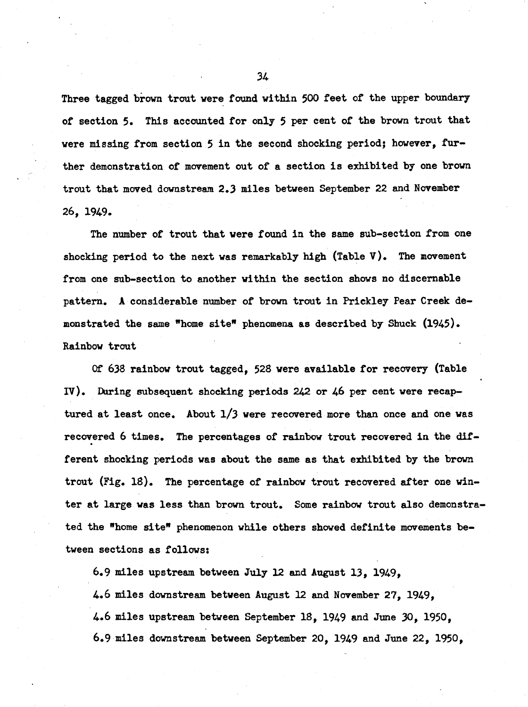Three tagged brown trout were found within 500 feet of the upper boundary of section 5. This accounted for only 5 per cent of the brown trout that were missing from section 5 in the second shocking period; however, further demonstration of movement out of a section is exhibited by one brown trout that moved downstream 2.3 miles between September 22 and November 26, 1949.

The number of trout that were found in the same sub-section from one shocking period to the next was remarkably high (Table  $V$ ). The movement from one sub-section to another within the section shows no discernable pattern. A considerable number of brown trout in Prickley Pear Creek demonstrated the same "home site" phenomena as described by Shuck (1945). Rainbow trout

Of 638 rainbow trout tagged. 528 were available for recovery (Table IV). During subsequent shocking periods 242 or 46 per cent were recaptured at least once. About  $1/3$  were recovered more than once and one was recovered 6 times. The percentages of rainbow trout recovered in the different shocking periods was about the same as that exhibited by the brown trout (Fig. 18). The percentage of rainbow trout recovered after one winter at large was less than brown trout. Some rainbow trout also demonstrated the "home site" phenomenon while others showed definite movements between sections as follows:

6.9 miles upstream between July 12 and August 13. 1949. 4.6 miles downstream between August 12 and November 27, 1949, 4.6 miles upstream between September 18, 1949 and June 30, 1950, 6.9 miles downstream between September 20, 1949 and June 22, 1950,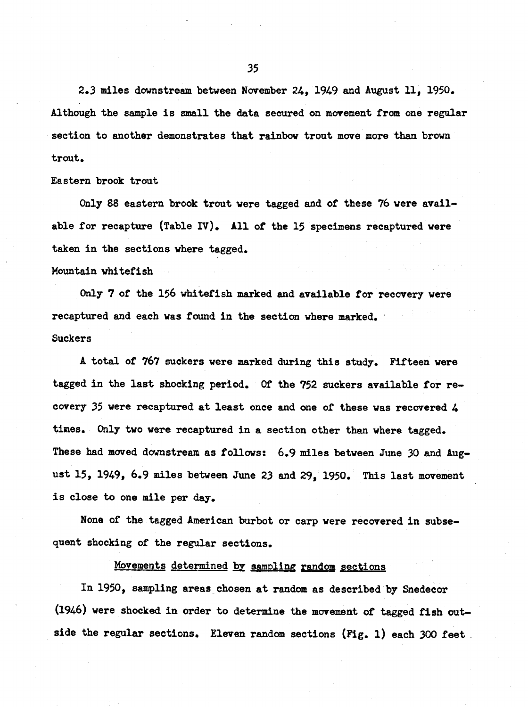2.3 miles downstream between November 24, 1949 and August 11, 1950. Although the sample is small the data secured on movement from one regular section to another demonstrates that rainbow trout move more than brown trout.

Eastern brook trout

Only 88 eastern brook trout were tagged and of these 76 were available for recapture (Table IV). All of the 15 specimens recaptured were taken in the sections where tagged. Mountain whitefish

Only 7 of the 156 whitefish marked and available for recovery were recaptured and each was found in the section where marked. Suckers

A total of 767 suckers were marked during this study. Fifteen were tagged in the last shocking period. Of the 752 suckers available for recovery 35 were recaptured at least once and one of these was recovered 4 times. Only two were recaptured in a section other than where tagged. These had moved downstream as follows: 6.9 miles between June 30 and August 15, 1949, 6.9 miles between June 23 and 29, 1950. This last movement is close to one mile per day.

None of the tagged American burbot or carp were recovered in subsequent shocking of the regular sections.

Movements determined by sampling random sections

In 1950, sampling areas chosen at random as described by Snedecor (1946) were shocked in order to determine the movement of tagged fish outside the regular sections. Eleven random sections (Fig. 1) each 300 feet.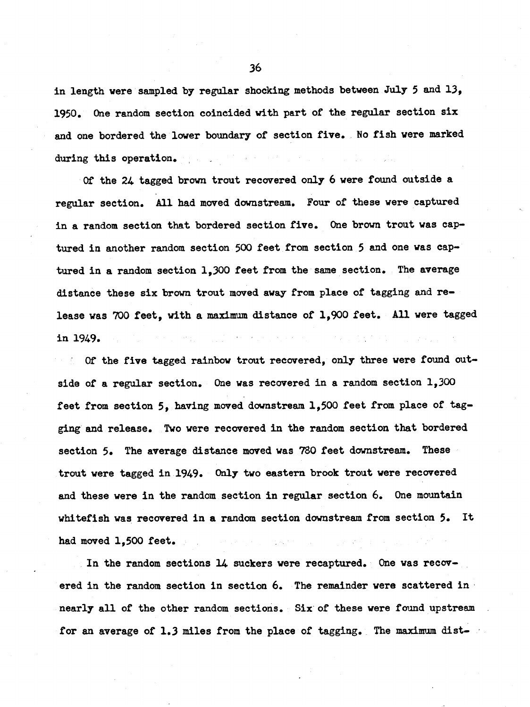in length were sampled by regular shocking methods between July 5 and 13, 1950. One random section coincided with part of the regular section six and one bordered the lower boundary of section five. No fish were marked during this operation.

Of the 24 tagged brown trout recovered only 6 were found outside a regular section. All had moved downstream. Four of these were captured in a random section that bordered section five. One brown trout was captured in another random section 500 feet from section 5 and one was captured in a random section 1,300 feet from the same section. The average distance these six brown trout moved away from place of tagging and release was 700 feet, with a maximum distance of 1,900 feet. All were tagged in 1949.  $\mathcal{L}^{\mathcal{A}}(\mathcal{A})=\mathcal{L}^{\mathcal{A}}(\mathcal{A})\mathcal{L}^{\mathcal{A}}(\mathcal{A})$ 

Of the five tagged rainbow trout recovered, only three were found outside of a regular section. One was recovered in a random section 1,300 feet from section 5, having moved downstream 1,500 feet from place of tagging and release. Two were recovered in the random section that bordered section 5. The average distance moved was 780 feet downstream. These trout were tagged in 1949. Only two eastern brook trout were recovered and these were in the random section in regular section 6. One mountain whitefish was recovered in a random section downstream from section 5. It had moved 1.500 feet.  $\alpha$  is a second contract of  $\alpha$ 

In the random sections 14 suckers were recaptured. One was recovered in the random section in section 6. The remainder were scattered in nearly all of the other random sections. Six of these were found upstream for an average of 1.3 miles from the place of tagging. The maximum dist-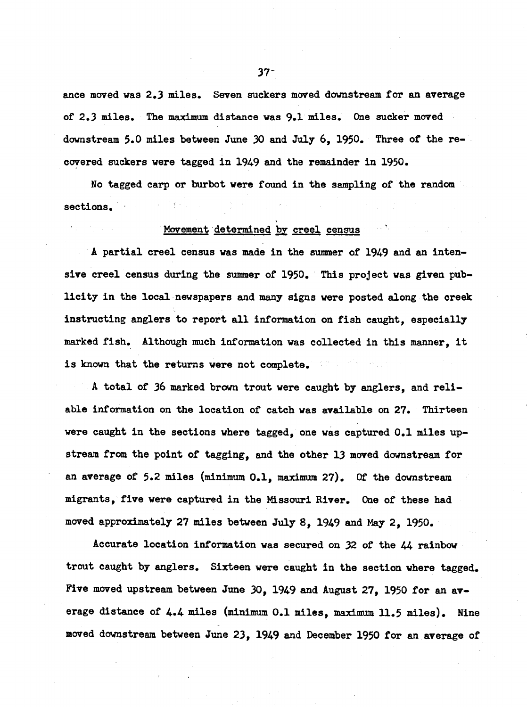ance moved was 2.3 miles. Seven suckers moved downstream for an average of 2.3 miles. The maximum distance was 9.1 miles. One sucker moved downstream 5.0 miles between June 30 and July 6, 1950. Three of the recovered suckers were tagged in 1949 and the remainder in 1950.

No tagged carp or burbot were found in the sampling of the random sections.

#### Movement determined by creel census

A partial creel census was made in the summer of 1949 and an intensive creel census during the summer of 1950. This project was given publicity in the local newspapers and many signs were posted along the creek instructing anglers to report all information on fish caught, especially marked fish. Although much information was collected in this manner, it is known that the returns were not complete.

A total of 36 marked brown trout were caught by anglers, and reliable information on the location of catch was available on 27. Thirteen were caught in the sections where tagged, one was captured 0.1 miles upstream from the point of tagging, and the other 13 moved downstream for an average of 5.2 miles (minimum  $0.1$ , maximum 27). Of the downstream migrants, five were captured in the Missouri River. One of these had moved approximately 27 miles between July 8, 1949 and May 2, 1950.

Accurate location information was secured on 32 of the 44 rainbow trout caught by anglers. Sixteen were caught in the section where tagged. Five moved upstream between June 30, 1949 and August 27, 1950 for an average distance of 4.4 miles (minimum 0.1 miles, maximum 11.5 miles). Nine moved downstream between June 23, 1949 and December 1950 for an average of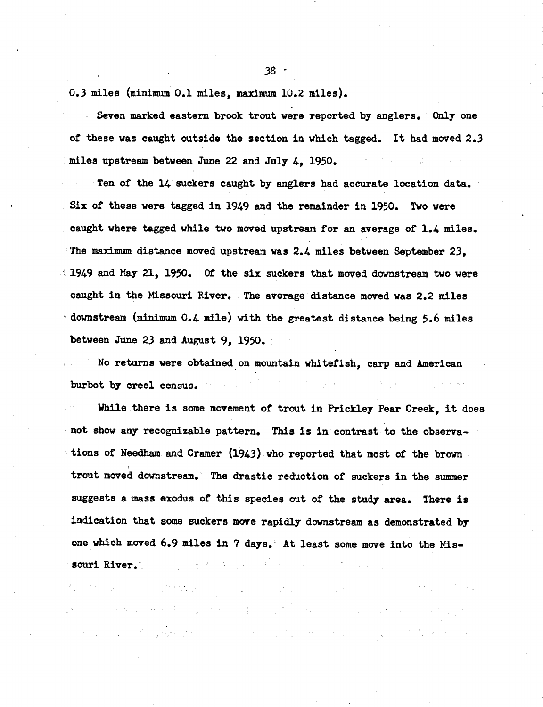0.3 miles (minimum 0.1 miles, maximum 10.2 miles).

Seven marked eastern brook trout were reported by anglers. Only one of these was caught outside the section in which tagged. It had moved 2.3 miles upstream between June 22 and July 4, 1950. 计加入 电电子 医白细胞

Ten of the 14 suckers caught by anglers had accurate location data. Six of these were tagged in 1949 and the remainder in 1950. Two were caught where tagged while two moved upstream for an average of 1.4 miles. The maximum distance moved upstream was 2.4 miles between September 23. 1949 and May 21, 1950. Of the six suckers that moved downstream two were caught in the Missouri River. The average distance moved was 2.2 miles downstream (minimum 0.4 mile) with the greatest distance being 5.6 miles between June 23 and August 9, 1950.

No returns were obtained on mountain whitefish, carp and American en dat voor een lag vorm met hook. burbot by creel census.

While there is some movement of trout in Prickley Pear Creek, it does not show any recognizable pattern. This is in contrast to the observations of Needham and Cramer (1943) who reported that most of the brown trout moved downstream. The drastic reduction of suckers in the summer suggests a mass exodus of this species out of the study area. There is indication that some suckers move rapidly downstream as demonstrated by one which moved 6.9 miles in 7 days. At least some move into the Missouri River. The second property of the second second second second second second second second second second second second second second second second second second second second second second second second second second

.<br>ເຮືອງ ກໍ່ຄືກັບ ຈະພວກ ຈະຫຼາຍການເຮົາກັບປະມູນ ຫລຽງຈາກ ເຖິງກໍ່ຄວາມ ຫຼື ເຂດການຄວາມ ການຄວາມເຮັດ ພະສັດ ຈາກການເສຍ 10.

.<br>De en 1970 en gradistika en des 1970 en 1970 en 1970 en 1980 en 1980 en 1980 en 1980 en 1980 en 1980 en 1980 e

アー・コンピュータ アメリカ 大地 アープ

 $\mathcal{L}^{(1)}\left(\mathcal{L}^{(1)}\right)=\mathcal{L}^{(1)}\left(\mathcal{L}^{(1)}\right)=\mathcal{L}^{(1)}\left(\mathcal{L}^{(1)}\right)=\mathcal{L}^{(1)}\left(\mathcal{L}^{(1)}\right)=\mathcal{L}^{(1)}\left(\mathcal{L}^{(1)}\right)=\mathcal{L}^{(1)}\left(\mathcal{L}^{(1)}\right)=\mathcal{L}^{(1)}\left(\mathcal{L}^{(1)}\right)=\mathcal{L}^{(1)}\left(\mathcal{L}^{(1)}\right)=\mathcal{L}^{(1)}\left(\mathcal{L}^{($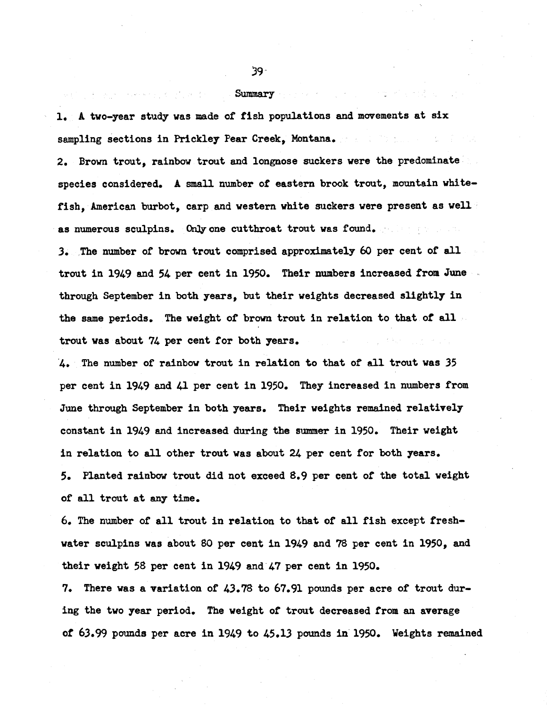Summary

Conservation of profits

1. A two-year study was made of fish populations and movements at six sampling sections in Prickley Pear Creek. Montana.

2. Brown trout, rainbow trout and longnose suckers were the predominate species considered. A small number of eastern brook trout, mountain whitefish, American burbot, carp and western white suckers were present as well as numerous sculpins. Only one cutthroat trout was found.

3. The number of brown trout comprised approximately 60 per cent of all trout in 1949 and 54 per cent in 1950. Their numbers increased from June through September in both years, but their weights decreased slightly in the same periods. The weight of brown trout in relation to that of all trout was about 74 per cent for both years.

4. The number of rainbow trout in relation to that of all trout was 35 per cent in 1949 and 41 per cent in 1950. They increased in numbers from June through September in both years. Their weights remained relatively constant in 1949 and increased during the summer in 1950. Their weight in relation to all other trout was about 24 per cent for both years. 5. Planted rainbow trout did not exceed 8.9 per cent of the total weight of all trout at any time.

6. The number of all trout in relation to that of all fish except freshwater sculpins was about 80 per cent in 1949 and 78 per cent in 1950, and their weight 58 per cent in 1949 and 47 per cent in 1950.

7. There was a variation of 43.78 to 67.91 pounds per acre of trout during the two year period. The weight of trout decreased from an average of 63.99 pounds per acre in 1949 to 45.13 pounds in 1950. Weights remained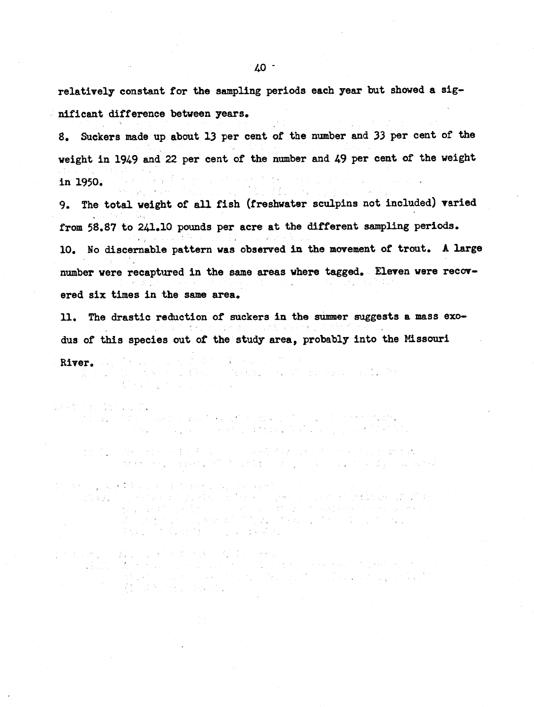relatively constant for the sampling periods each year but showed a significant difference between years.

8. Suckers made up about 13 per cent of the number and 33 per cent of the weight in 1949 and 22 per cent of the number and 49 per cent of the weight in 1950.

The total weight of all fish (freshwater sculpins not included) varied  $9.1$ from 58.87 to 241.10 pounds per acre at the different sampling periods. 10. No discernable pattern was observed in the movement of trout. A large number were recaptured in the same areas where tagged. Eleven were recovered six times in the same area.

The drastic reduction of suckers in the summer suggests a mass exo-11. dus of this species out of the study area, probably into the Missouri

River. the following measure of the second to the 

- - it is a grant that is seen that and the said the rather shift in Eq. ( ) then next integrate, and<br>It is a grant to the problem of the rather than the company of the state of the state of the state of the stat
	- de la care de la componentación de la componentación de la care de la care de la care de la care de las cares<br>La care de la care de la care de la care de la care de la care de la care de la care de la care de la care de
- 医内皮积 医皮肤样皮炎 医牙刺激 化硫化合物 的复数世界 ารเพื่อต้อง (กุลย์เองไทย เมาะสี ค.ศ. ร้างสาขาว เราชาย)<br>เมื่อเพื่อต้อง (กุลย์เองไทย ค.ศ. ร้างสาย เพราะ ค.ศ. ร้างสา The Story of the State of the State of the
- かくりれる こうほうしゅうかい あいのまい 人間の こうせん a sa kabilitan ng Kabupatèn Kabupatèn Kabupatèn Kabupatèn Kabupatèn Kabupatèn Kabupatèn Kabupatèn Kabupatèn Ka<br>Kabupatèn Kabupatèn Kabupatèn Kabupatèn Kabupatèn Kabupatèn Kabupatèn Kabupatèn Kabupatèn Kabupatèn Kabupatèn enter<br>1982 - College County<br>1983 - William Steel, Amerika  $\label{eq:2} \mathcal{F}(\mathcal{F}) = \frac{1}{2\pi\sqrt{2}}\sum_{i=1}^{\infty}\frac{1}{2\pi\sqrt{2}}\left(\frac{1}{2\pi\sqrt{2}}\right)^2.$ an<br>1980 - Johann Barnett, margiar frantziar (h. 1905)<br>1980 - Johann Barnett, margiar frantziar (h. 1906)
	-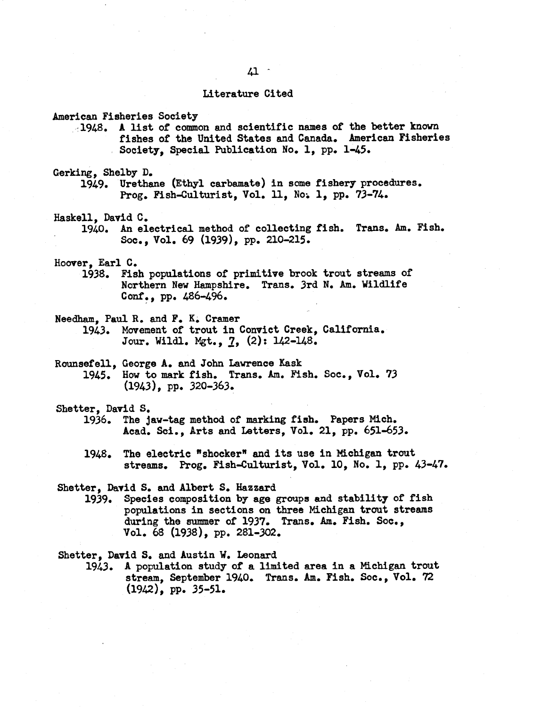# $41 -$

#### Literature Cited

American Fisheries Society

1948. A list of common and scientific names of the better known fishes of the United States and Canada. American Fisheries Society, Special Publication No. 1, pp. 1-45.

## Gerking, Shelby D.

1949. Urethane (Ethyl carbamate) in some fishery procedures. Prog. Fish-Culturist, Vol. 11, No. 1, pp. 73-74.

#### Haskell. David C.

An electrical method of collecting fish. Trans. Am. Fish. 1940. Soc., Vol. 69 (1939), pp. 210-215.

Hoover, Earl C.

1938. Fish populations of primitive brook trout streams of Northern New Hampshire. Trans. 3rd N. Am. Wildlife Conf., pp. 486-496.

Needham, Paul R. and F. K. Cramer

1943. Movement of trout in Convict Creek, California. Jour. Wildl. Mgt., 7, (2): 142-148.

Rounsefell, George A. and John Lawrence Kask How to mark fish. Trans. Am. Fish. Soc., Vol. 73 1945.  $(1943)$ , pp. 320-363.

#### Shetter, David S.

- The jaw-tag method of marking fish. Papers Mich. 1936. Acad. Sci., Arts and Letters, Vol. 21, pp. 651-653.
- The electric "shocker" and its use in Michigan trout 1948. streams. Prog. Fish-Culturist, Vol. 10, No. 1, pp. 43-47.

## Shetter, David S. and Albert S. Hazzard

Species composition by age groups and stability of fish 1939. populations in sections on three Michigan trout streams during the summer of 1937. Trans. Am. Fish. Soc., Vol. 68 (1938), pp. 281-302.

Shetter, David S. and Austin W. Leonard

A population study of a limited area in a Michigan trout 1943. stream, September 1940. Trans. Am. Fish. Soc., Vol. 72  $(1942)$ , pp. 35-51.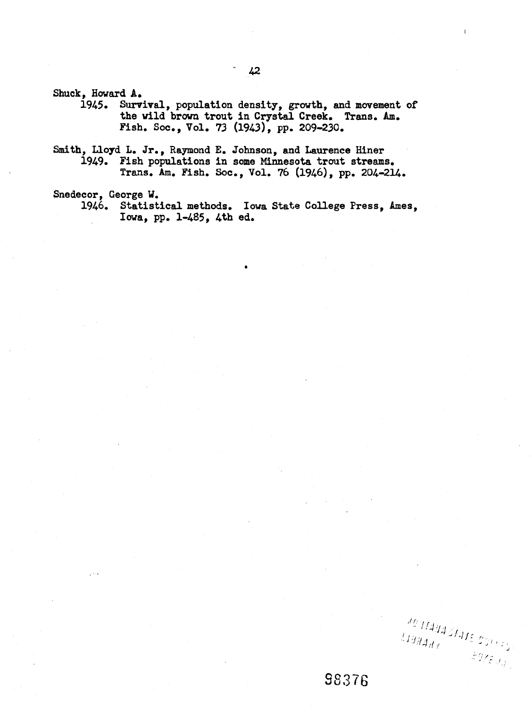Shuck, Howard A.

Survival, population density, growth, and movement of 1945. the wild brown trout in Crystal Creek. Trans. Am. Fish. Soc., Vol. 73 (1943), pp. 209-230.

Smith, Lloyd L. Jr., Raymond E. Johnson, and Laurence Hiner 1949. Fish populations in some Minnesota trout streams. Trans. Am. Fish. Soc., Vol. 76 (1946), pp. 204-214.

Snedecor, George W.

1946. Statistical methods. Iowa State College Press, Ames, Iowa, pp. 1-485, 4th ed.

JOURNA STATE SOFFER  $\langle \bar{1} \bar{3} \bar{3} \bar{4} \bar{4} \bar{4} \bar{7} \rangle$  $\mathcal{L}Q\chi_{\mathcal{E},J,j}$